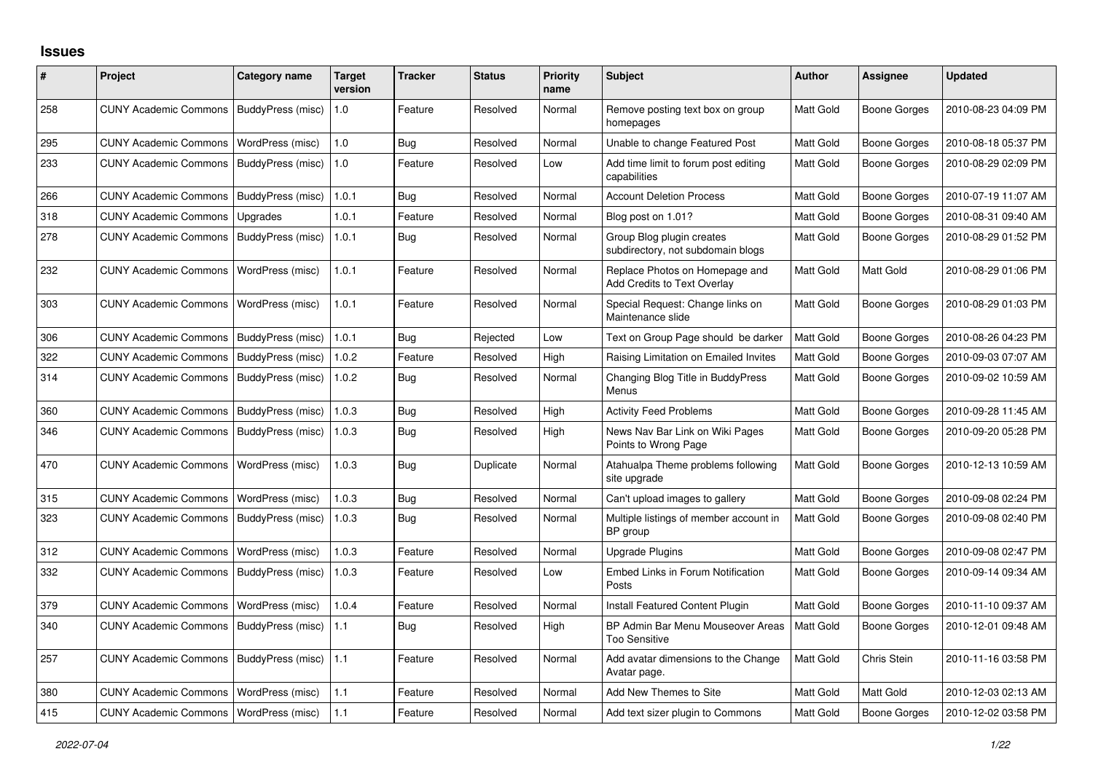## **Issues**

| #   | Project                                  | <b>Category name</b> | <b>Target</b><br>version | <b>Tracker</b> | <b>Status</b> | Priority<br>name | <b>Subject</b>                                                       | <b>Author</b> | <b>Assignee</b>     | <b>Updated</b>      |
|-----|------------------------------------------|----------------------|--------------------------|----------------|---------------|------------------|----------------------------------------------------------------------|---------------|---------------------|---------------------|
| 258 | <b>CUNY Academic Commons</b>             | BuddyPress (misc)    | 1.0                      | Feature        | Resolved      | Normal           | Remove posting text box on group<br>homepages                        | Matt Gold     | <b>Boone Gorges</b> | 2010-08-23 04:09 PM |
| 295 | <b>CUNY Academic Commons</b>             | WordPress (misc)     | 1.0                      | Bug            | Resolved      | Normal           | Unable to change Featured Post                                       | Matt Gold     | Boone Gorges        | 2010-08-18 05:37 PM |
| 233 | <b>CUNY Academic Commons</b>             | BuddyPress (misc)    | 1.0                      | Feature        | Resolved      | Low              | Add time limit to forum post editing<br>capabilities                 | Matt Gold     | Boone Gorges        | 2010-08-29 02:09 PM |
| 266 | <b>CUNY Academic Commons</b>             | BuddyPress (misc)    | 1.0.1                    | Bug            | Resolved      | Normal           | <b>Account Deletion Process</b>                                      | Matt Gold     | <b>Boone Gorges</b> | 2010-07-19 11:07 AM |
| 318 | <b>CUNY Academic Commons</b>             | Upgrades             | 1.0.1                    | Feature        | Resolved      | Normal           | Blog post on 1.01?                                                   | Matt Gold     | Boone Gorges        | 2010-08-31 09:40 AM |
| 278 | <b>CUNY Academic Commons</b>             | BuddyPress (misc)    | 1.0.1                    | Bug            | Resolved      | Normal           | Group Blog plugin creates<br>subdirectory, not subdomain blogs       | Matt Gold     | Boone Gorges        | 2010-08-29 01:52 PM |
| 232 | <b>CUNY Academic Commons</b>             | WordPress (misc)     | 1.0.1                    | Feature        | Resolved      | Normal           | Replace Photos on Homepage and<br><b>Add Credits to Text Overlay</b> | Matt Gold     | Matt Gold           | 2010-08-29 01:06 PM |
| 303 | <b>CUNY Academic Commons</b>             | WordPress (misc)     | 1.0.1                    | Feature        | Resolved      | Normal           | Special Request: Change links on<br>Maintenance slide                | Matt Gold     | Boone Gorges        | 2010-08-29 01:03 PM |
| 306 | <b>CUNY Academic Commons</b>             | BuddyPress (misc)    | 1.0.1                    | <b>Bug</b>     | Rejected      | Low              | Text on Group Page should be darker                                  | Matt Gold     | <b>Boone Gorges</b> | 2010-08-26 04:23 PM |
| 322 | <b>CUNY Academic Commons</b>             | BuddyPress (misc)    | 1.0.2                    | Feature        | Resolved      | High             | Raising Limitation on Emailed Invites                                | Matt Gold     | <b>Boone Gorges</b> | 2010-09-03 07:07 AM |
| 314 | <b>CUNY Academic Commons</b>             | BuddyPress (misc)    | 1.0.2                    | <b>Bug</b>     | Resolved      | Normal           | Changing Blog Title in BuddyPress<br>Menus                           | Matt Gold     | Boone Gorges        | 2010-09-02 10:59 AM |
| 360 | <b>CUNY Academic Commons</b>             | BuddyPress (misc)    | 1.0.3                    | <b>Bug</b>     | Resolved      | High             | <b>Activity Feed Problems</b>                                        | Matt Gold     | <b>Boone Gorges</b> | 2010-09-28 11:45 AM |
| 346 | <b>CUNY Academic Commons</b>             | BuddyPress (misc)    | 1.0.3                    | Bug            | Resolved      | High             | News Nav Bar Link on Wiki Pages<br>Points to Wrong Page              | Matt Gold     | Boone Gorges        | 2010-09-20 05:28 PM |
| 470 | <b>CUNY Academic Commons</b>             | WordPress (misc)     | 1.0.3                    | <b>Bug</b>     | Duplicate     | Normal           | Atahualpa Theme problems following<br>site upgrade                   | Matt Gold     | Boone Gorges        | 2010-12-13 10:59 AM |
| 315 | <b>CUNY Academic Commons</b>             | WordPress (misc)     | 1.0.3                    | <b>Bug</b>     | Resolved      | Normal           | Can't upload images to gallery                                       | Matt Gold     | <b>Boone Gorges</b> | 2010-09-08 02:24 PM |
| 323 | <b>CUNY Academic Commons</b>             | BuddyPress (misc)    | 1.0.3                    | <b>Bug</b>     | Resolved      | Normal           | Multiple listings of member account in<br>BP group                   | Matt Gold     | Boone Gorges        | 2010-09-08 02:40 PM |
| 312 | <b>CUNY Academic Commons</b>             | WordPress (misc)     | 1.0.3                    | Feature        | Resolved      | Normal           | <b>Upgrade Plugins</b>                                               | Matt Gold     | Boone Gorges        | 2010-09-08 02:47 PM |
| 332 | <b>CUNY Academic Commons</b>             | BuddyPress (misc)    | 1.0.3                    | Feature        | Resolved      | Low              | Embed Links in Forum Notification<br>Posts                           | Matt Gold     | Boone Gorges        | 2010-09-14 09:34 AM |
| 379 | <b>CUNY Academic Commons</b>             | WordPress (misc)     | 1.0.4                    | Feature        | Resolved      | Normal           | <b>Install Featured Content Plugin</b>                               | Matt Gold     | Boone Gorges        | 2010-11-10 09:37 AM |
| 340 | <b>CUNY Academic Commons</b>             | BuddyPress (misc)    | 1.1                      | <b>Bug</b>     | Resolved      | High             | BP Admin Bar Menu Mouseover Areas<br><b>Too Sensitive</b>            | Matt Gold     | Boone Gorges        | 2010-12-01 09:48 AM |
| 257 | <b>CUNY Academic Commons</b>             | BuddyPress (misc)    | 1.1                      | Feature        | Resolved      | Normal           | Add avatar dimensions to the Change<br>Avatar page.                  | Matt Gold     | Chris Stein         | 2010-11-16 03:58 PM |
| 380 | <b>CUNY Academic Commons</b>             | WordPress (misc)     | 1.1                      | Feature        | Resolved      | Normal           | Add New Themes to Site                                               | Matt Gold     | Matt Gold           | 2010-12-03 02:13 AM |
| 415 | CUNY Academic Commons   WordPress (misc) |                      | 1.1                      | Feature        | Resolved      | Normal           | Add text sizer plugin to Commons                                     | Matt Gold     | Boone Gorges        | 2010-12-02 03:58 PM |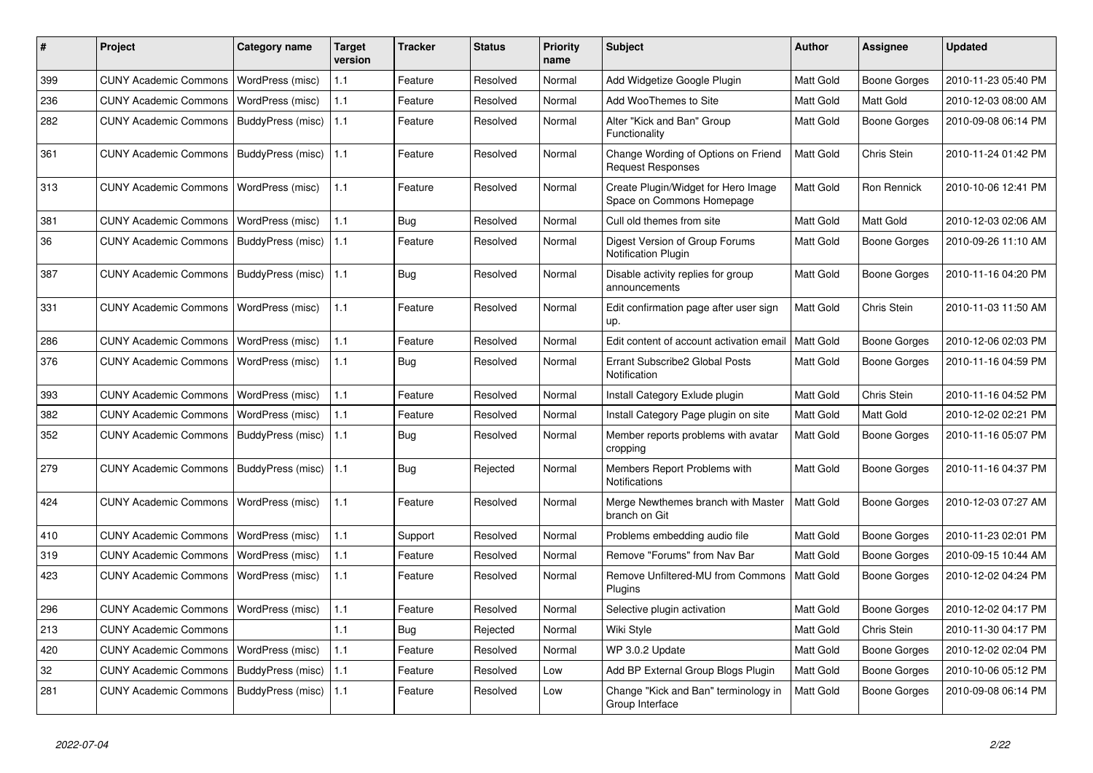| #   | Project                      | Category name     | <b>Target</b><br>version | <b>Tracker</b> | <b>Status</b> | <b>Priority</b><br>name | <b>Subject</b>                                                   | <b>Author</b>    | Assignee            | <b>Updated</b>      |
|-----|------------------------------|-------------------|--------------------------|----------------|---------------|-------------------------|------------------------------------------------------------------|------------------|---------------------|---------------------|
| 399 | <b>CUNY Academic Commons</b> | WordPress (misc)  | 1.1                      | Feature        | Resolved      | Normal                  | Add Widgetize Google Plugin                                      | <b>Matt Gold</b> | Boone Gorges        | 2010-11-23 05:40 PM |
| 236 | <b>CUNY Academic Commons</b> | WordPress (misc)  | 1.1                      | Feature        | Resolved      | Normal                  | Add WooThemes to Site                                            | Matt Gold        | Matt Gold           | 2010-12-03 08:00 AM |
| 282 | <b>CUNY Academic Commons</b> | BuddyPress (misc) | 1.1                      | Feature        | Resolved      | Normal                  | Alter "Kick and Ban" Group<br>Functionality                      | Matt Gold        | Boone Gorges        | 2010-09-08 06:14 PM |
| 361 | <b>CUNY Academic Commons</b> | BuddyPress (misc) | $\vert$ 1.1              | Feature        | Resolved      | Normal                  | Change Wording of Options on Friend<br><b>Request Responses</b>  | Matt Gold        | Chris Stein         | 2010-11-24 01:42 PM |
| 313 | <b>CUNY Academic Commons</b> | WordPress (misc)  | 1.1                      | Feature        | Resolved      | Normal                  | Create Plugin/Widget for Hero Image<br>Space on Commons Homepage | <b>Matt Gold</b> | Ron Rennick         | 2010-10-06 12:41 PM |
| 381 | <b>CUNY Academic Commons</b> | WordPress (misc)  | 1.1                      | Bug            | Resolved      | Normal                  | Cull old themes from site                                        | <b>Matt Gold</b> | Matt Gold           | 2010-12-03 02:06 AM |
| 36  | <b>CUNY Academic Commons</b> | BuddyPress (misc) | 1.1                      | Feature        | Resolved      | Normal                  | Digest Version of Group Forums<br><b>Notification Plugin</b>     | Matt Gold        | Boone Gorges        | 2010-09-26 11:10 AM |
| 387 | <b>CUNY Academic Commons</b> | BuddyPress (misc) | 1.1                      | Bug            | Resolved      | Normal                  | Disable activity replies for group<br>announcements              | Matt Gold        | Boone Gorges        | 2010-11-16 04:20 PM |
| 331 | <b>CUNY Academic Commons</b> | WordPress (misc)  | 1.1                      | Feature        | Resolved      | Normal                  | Edit confirmation page after user sign<br>up.                    | <b>Matt Gold</b> | Chris Stein         | 2010-11-03 11:50 AM |
| 286 | <b>CUNY Academic Commons</b> | WordPress (misc)  | 1.1                      | Feature        | Resolved      | Normal                  | Edit content of account activation email                         | <b>Matt Gold</b> | Boone Gorges        | 2010-12-06 02:03 PM |
| 376 | <b>CUNY Academic Commons</b> | WordPress (misc)  | 1.1                      | <b>Bug</b>     | Resolved      | Normal                  | Errant Subscribe2 Global Posts<br>Notification                   | Matt Gold        | <b>Boone Gorges</b> | 2010-11-16 04:59 PM |
| 393 | <b>CUNY Academic Commons</b> | WordPress (misc)  | 1.1                      | Feature        | Resolved      | Normal                  | Install Category Exlude plugin                                   | Matt Gold        | Chris Stein         | 2010-11-16 04:52 PM |
| 382 | <b>CUNY Academic Commons</b> | WordPress (misc)  | 1.1                      | Feature        | Resolved      | Normal                  | Install Category Page plugin on site                             | Matt Gold        | Matt Gold           | 2010-12-02 02:21 PM |
| 352 | <b>CUNY Academic Commons</b> | BuddyPress (misc) | 1.1                      | <b>Bug</b>     | Resolved      | Normal                  | Member reports problems with avatar<br>cropping                  | Matt Gold        | Boone Gorges        | 2010-11-16 05:07 PM |
| 279 | <b>CUNY Academic Commons</b> | BuddyPress (misc) | 1.1                      | Bug            | Rejected      | Normal                  | Members Report Problems with<br>Notifications                    | <b>Matt Gold</b> | Boone Gorges        | 2010-11-16 04:37 PM |
| 424 | <b>CUNY Academic Commons</b> | WordPress (misc)  | 1.1                      | Feature        | Resolved      | Normal                  | Merge Newthemes branch with Master<br>branch on Git              | <b>Matt Gold</b> | Boone Gorges        | 2010-12-03 07:27 AM |
| 410 | <b>CUNY Academic Commons</b> | WordPress (misc)  | 1.1                      | Support        | Resolved      | Normal                  | Problems embedding audio file                                    | Matt Gold        | Boone Gorges        | 2010-11-23 02:01 PM |
| 319 | <b>CUNY Academic Commons</b> | WordPress (misc)  | 1.1                      | Feature        | Resolved      | Normal                  | Remove "Forums" from Nav Bar                                     | <b>Matt Gold</b> | Boone Gorges        | 2010-09-15 10:44 AM |
| 423 | <b>CUNY Academic Commons</b> | WordPress (misc)  | 1.1                      | Feature        | Resolved      | Normal                  | Remove Unfiltered-MU from Commons<br><b>Plugins</b>              | <b>Matt Gold</b> | Boone Gorges        | 2010-12-02 04:24 PM |
| 296 | <b>CUNY Academic Commons</b> | WordPress (misc)  | 1.1                      | Feature        | Resolved      | Normal                  | Selective plugin activation                                      | Matt Gold        | Boone Gorges        | 2010-12-02 04:17 PM |
| 213 | <b>CUNY Academic Commons</b> |                   | 1.1                      | Bug            | Rejected      | Normal                  | Wiki Style                                                       | Matt Gold        | Chris Stein         | 2010-11-30 04:17 PM |
| 420 | <b>CUNY Academic Commons</b> | WordPress (misc)  | $1.1$                    | Feature        | Resolved      | Normal                  | WP 3.0.2 Update                                                  | Matt Gold        | Boone Gorges        | 2010-12-02 02:04 PM |
| 32  | <b>CUNY Academic Commons</b> | BuddyPress (misc) | 1.1                      | Feature        | Resolved      | Low                     | Add BP External Group Blogs Plugin                               | Matt Gold        | Boone Gorges        | 2010-10-06 05:12 PM |
| 281 | <b>CUNY Academic Commons</b> | BuddyPress (misc) | 1.1                      | Feature        | Resolved      | Low                     | Change "Kick and Ban" terminology in<br>Group Interface          | Matt Gold        | Boone Gorges        | 2010-09-08 06:14 PM |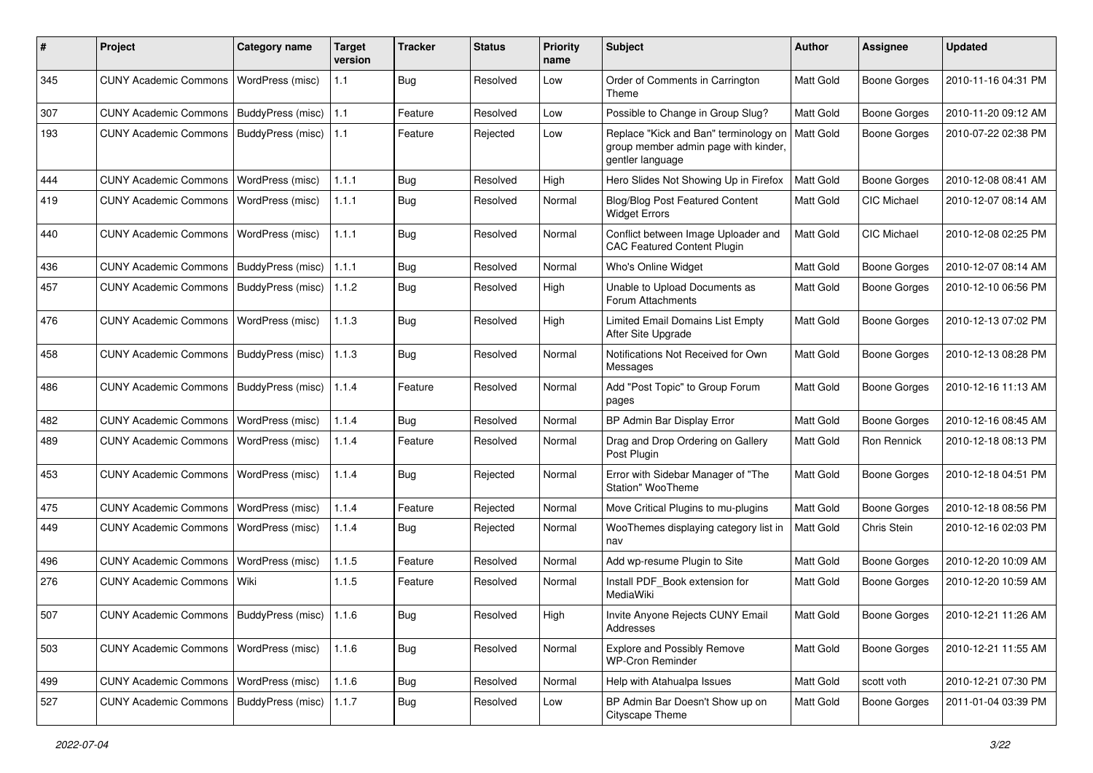| #   | Project                                           | <b>Category name</b>     | <b>Target</b><br>version | <b>Tracker</b> | <b>Status</b> | <b>Priority</b><br>name | Subject                                                                                           | <b>Author</b> | <b>Assignee</b>     | <b>Updated</b>      |
|-----|---------------------------------------------------|--------------------------|--------------------------|----------------|---------------|-------------------------|---------------------------------------------------------------------------------------------------|---------------|---------------------|---------------------|
| 345 | <b>CUNY Academic Commons</b>                      | WordPress (misc)         | 1.1                      | <b>Bug</b>     | Resolved      | Low                     | Order of Comments in Carrington<br>Theme                                                          | Matt Gold     | <b>Boone Gorges</b> | 2010-11-16 04:31 PM |
| 307 | <b>CUNY Academic Commons</b>                      | BuddyPress (misc)        | 1.1                      | Feature        | Resolved      | Low                     | Possible to Change in Group Slug?                                                                 | Matt Gold     | <b>Boone Gorges</b> | 2010-11-20 09:12 AM |
| 193 | <b>CUNY Academic Commons</b>                      | BuddyPress (misc)        | 1.1                      | Feature        | Rejected      | Low                     | Replace "Kick and Ban" terminology on<br>group member admin page with kinder,<br>gentler language | Matt Gold     | <b>Boone Gorges</b> | 2010-07-22 02:38 PM |
| 444 | <b>CUNY Academic Commons</b>                      | WordPress (misc)         | 1.1.1                    | Bug            | Resolved      | High                    | Hero Slides Not Showing Up in Firefox                                                             | Matt Gold     | <b>Boone Gorges</b> | 2010-12-08 08:41 AM |
| 419 | <b>CUNY Academic Commons</b>                      | WordPress (misc)         | 1.1.1                    | <b>Bug</b>     | Resolved      | Normal                  | Blog/Blog Post Featured Content<br><b>Widget Errors</b>                                           | Matt Gold     | <b>CIC Michael</b>  | 2010-12-07 08:14 AM |
| 440 | <b>CUNY Academic Commons</b>                      | WordPress (misc)         | 1.1.1                    | Bug            | Resolved      | Normal                  | Conflict between Image Uploader and<br><b>CAC Featured Content Plugin</b>                         | Matt Gold     | <b>CIC Michael</b>  | 2010-12-08 02:25 PM |
| 436 | <b>CUNY Academic Commons</b>                      | BuddyPress (misc)        | 1.1.1                    | Bug            | Resolved      | Normal                  | Who's Online Widget                                                                               | Matt Gold     | <b>Boone Gorges</b> | 2010-12-07 08:14 AM |
| 457 | <b>CUNY Academic Commons</b>                      | BuddyPress (misc)        | 1.1.2                    | <b>Bug</b>     | Resolved      | High                    | Unable to Upload Documents as<br>Forum Attachments                                                | Matt Gold     | <b>Boone Gorges</b> | 2010-12-10 06:56 PM |
| 476 | <b>CUNY Academic Commons</b>                      | WordPress (misc)         | 1.1.3                    | <b>Bug</b>     | Resolved      | High                    | Limited Email Domains List Empty<br>After Site Upgrade                                            | Matt Gold     | <b>Boone Gorges</b> | 2010-12-13 07:02 PM |
| 458 | <b>CUNY Academic Commons</b>                      | BuddyPress (misc)        | 1.1.3                    | Bug            | Resolved      | Normal                  | Notifications Not Received for Own<br>Messages                                                    | Matt Gold     | <b>Boone Gorges</b> | 2010-12-13 08:28 PM |
| 486 | <b>CUNY Academic Commons</b>                      | <b>BuddyPress (misc)</b> | 1.1.4                    | Feature        | Resolved      | Normal                  | Add "Post Topic" to Group Forum<br>pages                                                          | Matt Gold     | <b>Boone Gorges</b> | 2010-12-16 11:13 AM |
| 482 | <b>CUNY Academic Commons</b>                      | WordPress (misc)         | 1.1.4                    | Bug            | Resolved      | Normal                  | BP Admin Bar Display Error                                                                        | Matt Gold     | <b>Boone Gorges</b> | 2010-12-16 08:45 AM |
| 489 | <b>CUNY Academic Commons</b>                      | WordPress (misc)         | 1.1.4                    | Feature        | Resolved      | Normal                  | Drag and Drop Ordering on Gallery<br>Post Plugin                                                  | Matt Gold     | Ron Rennick         | 2010-12-18 08:13 PM |
| 453 | <b>CUNY Academic Commons</b>                      | WordPress (misc)         | 1.1.4                    | Bug            | Rejected      | Normal                  | Error with Sidebar Manager of "The<br>Station" WooTheme                                           | Matt Gold     | <b>Boone Gorges</b> | 2010-12-18 04:51 PM |
| 475 | <b>CUNY Academic Commons</b>                      | WordPress (misc)         | 1.1.4                    | Feature        | Rejected      | Normal                  | Move Critical Plugins to mu-plugins                                                               | Matt Gold     | <b>Boone Gorges</b> | 2010-12-18 08:56 PM |
| 449 | <b>CUNY Academic Commons</b>                      | WordPress (misc)         | 1.1.4                    | Bug            | Rejected      | Normal                  | WooThemes displaying category list in<br>nav                                                      | Matt Gold     | Chris Stein         | 2010-12-16 02:03 PM |
| 496 | <b>CUNY Academic Commons</b>                      | WordPress (misc)         | 1.1.5                    | Feature        | Resolved      | Normal                  | Add wp-resume Plugin to Site                                                                      | Matt Gold     | <b>Boone Gorges</b> | 2010-12-20 10:09 AM |
| 276 | <b>CUNY Academic Commons</b>                      | Wiki                     | 1.1.5                    | Feature        | Resolved      | Normal                  | Install PDF_Book extension for<br>MediaWiki                                                       | Matt Gold     | Boone Gorges        | 2010-12-20 10:59 AM |
| 507 | CUNY Academic Commons   BuddyPress (misc)   1.1.6 |                          |                          | <b>Bug</b>     | Resolved      | High                    | Invite Anyone Rejects CUNY Email<br>Addresses                                                     | Matt Gold     | Boone Gorges        | 2010-12-21 11:26 AM |
| 503 | CUNY Academic Commons   WordPress (misc)          |                          | 1.1.6                    | <b>Bug</b>     | Resolved      | Normal                  | <b>Explore and Possibly Remove</b><br><b>WP-Cron Reminder</b>                                     | Matt Gold     | Boone Gorges        | 2010-12-21 11:55 AM |
| 499 | CUNY Academic Commons   WordPress (misc)          |                          | 1.1.6                    | Bug            | Resolved      | Normal                  | Help with Atahualpa Issues                                                                        | Matt Gold     | scott voth          | 2010-12-21 07:30 PM |
| 527 | <b>CUNY Academic Commons</b>                      | BuddyPress (misc)        | 1.1.7                    | Bug            | Resolved      | Low                     | BP Admin Bar Doesn't Show up on<br>Cityscape Theme                                                | Matt Gold     | <b>Boone Gorges</b> | 2011-01-04 03:39 PM |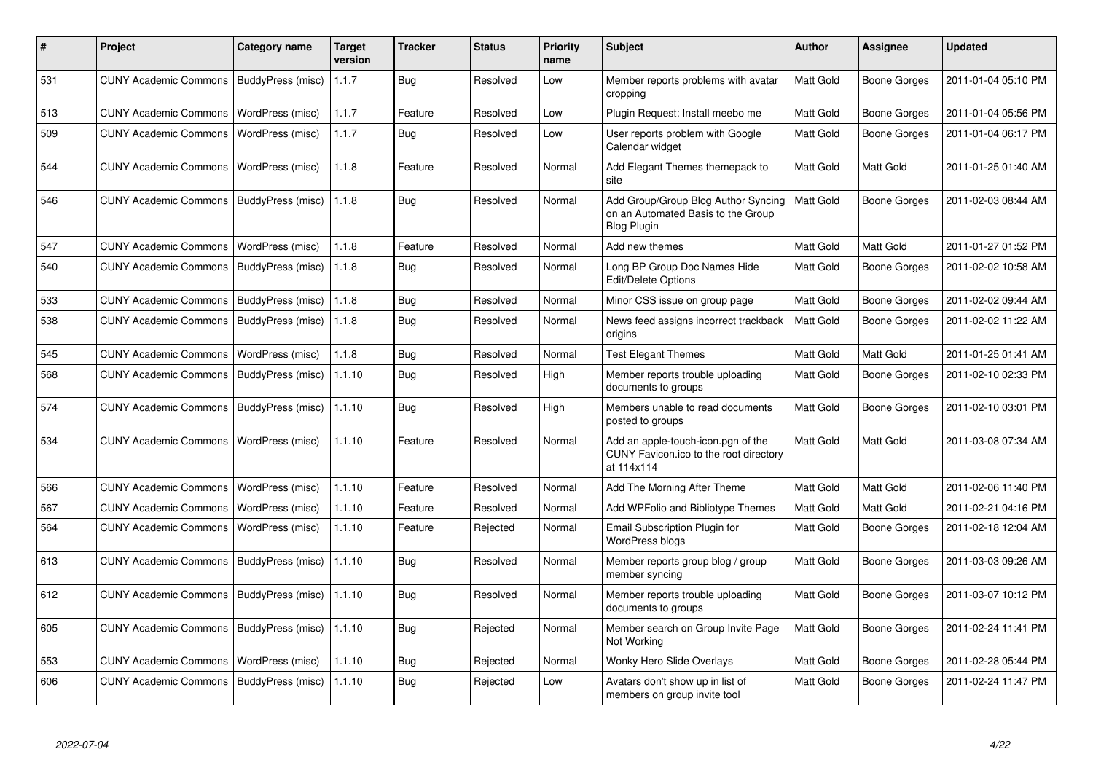| #   | <b>Project</b>                            | Category name     | <b>Target</b><br>version | <b>Tracker</b> | <b>Status</b> | <b>Priority</b><br>name | <b>Subject</b>                                                                                  | Author           | Assignee            | <b>Updated</b>      |
|-----|-------------------------------------------|-------------------|--------------------------|----------------|---------------|-------------------------|-------------------------------------------------------------------------------------------------|------------------|---------------------|---------------------|
| 531 | CUNY Academic Commons   BuddyPress (misc) |                   | 1.1.7                    | <b>Bug</b>     | Resolved      | Low                     | Member reports problems with avatar<br>cropping                                                 | Matt Gold        | Boone Gorges        | 2011-01-04 05:10 PM |
| 513 | <b>CUNY Academic Commons</b>              | WordPress (misc)  | 1.1.7                    | Feature        | Resolved      | Low                     | Plugin Request: Install meebo me                                                                | Matt Gold        | Boone Gorges        | 2011-01-04 05:56 PM |
| 509 | <b>CUNY Academic Commons</b>              | WordPress (misc)  | 1.1.7                    | Bug            | Resolved      | Low                     | User reports problem with Google<br>Calendar widget                                             | Matt Gold        | Boone Gorges        | 2011-01-04 06:17 PM |
| 544 | <b>CUNY Academic Commons</b>              | WordPress (misc)  | 1.1.8                    | Feature        | Resolved      | Normal                  | Add Elegant Themes themepack to<br>site                                                         | Matt Gold        | Matt Gold           | 2011-01-25 01:40 AM |
| 546 | <b>CUNY Academic Commons</b>              | BuddyPress (misc) | 1.1.8                    | Bug            | Resolved      | Normal                  | Add Group/Group Blog Author Syncing<br>on an Automated Basis to the Group<br><b>Blog Plugin</b> | Matt Gold        | Boone Gorges        | 2011-02-03 08:44 AM |
| 547 | <b>CUNY Academic Commons</b>              | WordPress (misc)  | 1.1.8                    | Feature        | Resolved      | Normal                  | Add new themes                                                                                  | Matt Gold        | Matt Gold           | 2011-01-27 01:52 PM |
| 540 | <b>CUNY Academic Commons</b>              | BuddyPress (misc) | 1.1.8                    | Bug            | Resolved      | Normal                  | Long BP Group Doc Names Hide<br><b>Edit/Delete Options</b>                                      | <b>Matt Gold</b> | Boone Gorges        | 2011-02-02 10:58 AM |
| 533 | <b>CUNY Academic Commons</b>              | BuddyPress (misc) | 1.1.8                    | <b>Bug</b>     | Resolved      | Normal                  | Minor CSS issue on group page                                                                   | Matt Gold        | Boone Gorges        | 2011-02-02 09:44 AM |
| 538 | <b>CUNY Academic Commons</b>              | BuddyPress (misc) | 1.1.8                    | Bug            | Resolved      | Normal                  | News feed assigns incorrect trackback<br>origins                                                | <b>Matt Gold</b> | Boone Gorges        | 2011-02-02 11:22 AM |
| 545 | <b>CUNY Academic Commons</b>              | WordPress (misc)  | 1.1.8                    | Bug            | Resolved      | Normal                  | <b>Test Elegant Themes</b>                                                                      | Matt Gold        | Matt Gold           | 2011-01-25 01:41 AM |
| 568 | <b>CUNY Academic Commons</b>              | BuddyPress (misc) | 1.1.10                   | Bug            | Resolved      | High                    | Member reports trouble uploading<br>documents to groups                                         | <b>Matt Gold</b> | Boone Gorges        | 2011-02-10 02:33 PM |
| 574 | <b>CUNY Academic Commons</b>              | BuddyPress (misc) | 1.1.10                   | Bug            | Resolved      | High                    | Members unable to read documents<br>posted to groups                                            | Matt Gold        | <b>Boone Gorges</b> | 2011-02-10 03:01 PM |
| 534 | <b>CUNY Academic Commons</b>              | WordPress (misc)  | 1.1.10                   | Feature        | Resolved      | Normal                  | Add an apple-touch-icon.pgn of the<br>CUNY Favicon.ico to the root directory<br>at 114x114      | Matt Gold        | Matt Gold           | 2011-03-08 07:34 AM |
| 566 | <b>CUNY Academic Commons</b>              | WordPress (misc)  | 1.1.10                   | Feature        | Resolved      | Normal                  | Add The Morning After Theme                                                                     | Matt Gold        | Matt Gold           | 2011-02-06 11:40 PM |
| 567 | <b>CUNY Academic Commons</b>              | WordPress (misc)  | 1.1.10                   | Feature        | Resolved      | Normal                  | Add WPFolio and Bibliotype Themes                                                               | <b>Matt Gold</b> | Matt Gold           | 2011-02-21 04:16 PM |
| 564 | <b>CUNY Academic Commons</b>              | WordPress (misc)  | 1.1.10                   | Feature        | Rejected      | Normal                  | <b>Email Subscription Plugin for</b><br>WordPress blogs                                         | Matt Gold        | <b>Boone Gorges</b> | 2011-02-18 12:04 AM |
| 613 | <b>CUNY Academic Commons</b>              | BuddyPress (misc) | 1.1.10                   | Bug            | Resolved      | Normal                  | Member reports group blog / group<br>member syncing                                             | <b>Matt Gold</b> | Boone Gorges        | 2011-03-03 09:26 AM |
| 612 | <b>CUNY Academic Commons</b>              | BuddyPress (misc) | 1.1.10                   | <b>Bug</b>     | Resolved      | Normal                  | Member reports trouble uploading<br>documents to groups                                         | Matt Gold        | Boone Gorges        | 2011-03-07 10:12 PM |
| 605 | <b>CUNY Academic Commons</b>              | BuddyPress (misc) | 1.1.10                   | Bug            | Rejected      | Normal                  | Member search on Group Invite Page<br>Not Working                                               | Matt Gold        | Boone Gorges        | 2011-02-24 11:41 PM |
| 553 | <b>CUNY Academic Commons</b>              | WordPress (misc)  | 1.1.10                   | Bug            | Rejected      | Normal                  | Wonky Hero Slide Overlays                                                                       | Matt Gold        | Boone Gorges        | 2011-02-28 05:44 PM |
| 606 | <b>CUNY Academic Commons</b>              | BuddyPress (misc) | 1.1.10                   | <b>Bug</b>     | Rejected      | Low                     | Avatars don't show up in list of<br>members on group invite tool                                | Matt Gold        | <b>Boone Gorges</b> | 2011-02-24 11:47 PM |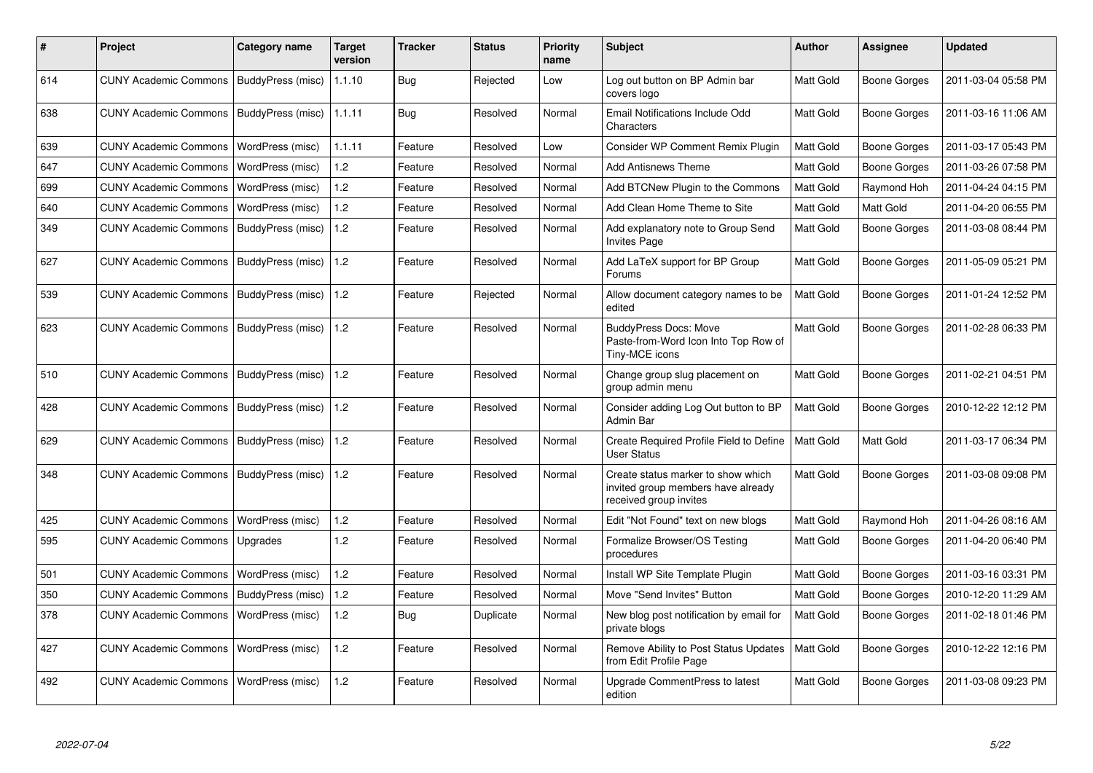| #   | <b>Project</b>                            | Category name     | <b>Target</b><br>version | <b>Tracker</b> | <b>Status</b> | <b>Priority</b><br>name | <b>Subject</b>                                                                                     | <b>Author</b>    | <b>Assignee</b>     | <b>Updated</b>      |
|-----|-------------------------------------------|-------------------|--------------------------|----------------|---------------|-------------------------|----------------------------------------------------------------------------------------------------|------------------|---------------------|---------------------|
| 614 | CUNY Academic Commons   BuddyPress (misc) |                   | 1.1.10                   | Bug            | Rejected      | Low                     | Log out button on BP Admin bar<br>covers logo                                                      | Matt Gold        | Boone Gorges        | 2011-03-04 05:58 PM |
| 638 | CUNY Academic Commons                     | BuddyPress (misc) | 1.1.11                   | Bug            | Resolved      | Normal                  | Email Notifications Include Odd<br>Characters                                                      | <b>Matt Gold</b> | Boone Gorges        | 2011-03-16 11:06 AM |
| 639 | <b>CUNY Academic Commons</b>              | WordPress (misc)  | 1.1.11                   | Feature        | Resolved      | Low                     | Consider WP Comment Remix Plugin                                                                   | Matt Gold        | Boone Gorges        | 2011-03-17 05:43 PM |
| 647 | <b>CUNY Academic Commons</b>              | WordPress (misc)  | 1.2                      | Feature        | Resolved      | Normal                  | <b>Add Antisnews Theme</b>                                                                         | Matt Gold        | Boone Gorges        | 2011-03-26 07:58 PM |
| 699 | <b>CUNY Academic Commons</b>              | WordPress (misc)  | 1.2                      | Feature        | Resolved      | Normal                  | Add BTCNew Plugin to the Commons                                                                   | Matt Gold        | Raymond Hoh         | 2011-04-24 04:15 PM |
| 640 | <b>CUNY Academic Commons</b>              | WordPress (misc)  | 1.2                      | Feature        | Resolved      | Normal                  | Add Clean Home Theme to Site                                                                       | <b>Matt Gold</b> | Matt Gold           | 2011-04-20 06:55 PM |
| 349 | <b>CUNY Academic Commons</b>              | BuddyPress (misc) | 1.2                      | Feature        | Resolved      | Normal                  | Add explanatory note to Group Send<br><b>Invites Page</b>                                          | <b>Matt Gold</b> | <b>Boone Gorges</b> | 2011-03-08 08:44 PM |
| 627 | <b>CUNY Academic Commons</b>              | BuddyPress (misc) | 1.2                      | Feature        | Resolved      | Normal                  | Add LaTeX support for BP Group<br>Forums                                                           | Matt Gold        | Boone Gorges        | 2011-05-09 05:21 PM |
| 539 | CUNY Academic Commons                     | BuddyPress (misc) | 1.2                      | Feature        | Rejected      | Normal                  | Allow document category names to be<br>edited                                                      | <b>Matt Gold</b> | Boone Gorges        | 2011-01-24 12:52 PM |
| 623 | CUNY Academic Commons   BuddyPress (misc) |                   | 1.2                      | Feature        | Resolved      | Normal                  | <b>BuddyPress Docs: Move</b><br>Paste-from-Word Icon Into Top Row of<br>Tiny-MCE icons             | Matt Gold        | Boone Gorges        | 2011-02-28 06:33 PM |
| 510 | <b>CUNY Academic Commons</b>              | BuddyPress (misc) | 1.2                      | Feature        | Resolved      | Normal                  | Change group slug placement on<br>group admin menu                                                 | <b>Matt Gold</b> | Boone Gorges        | 2011-02-21 04:51 PM |
| 428 | CUNY Academic Commons   BuddyPress (misc) |                   | 1.2                      | Feature        | Resolved      | Normal                  | Consider adding Log Out button to BP<br>Admin Bar                                                  | <b>Matt Gold</b> | Boone Gorges        | 2010-12-22 12:12 PM |
| 629 | <b>CUNY Academic Commons</b>              | BuddyPress (misc) | 1.2                      | Feature        | Resolved      | Normal                  | Create Required Profile Field to Define<br><b>User Status</b>                                      | <b>Matt Gold</b> | Matt Gold           | 2011-03-17 06:34 PM |
| 348 | CUNY Academic Commons   BuddyPress (misc) |                   | 1.2                      | Feature        | Resolved      | Normal                  | Create status marker to show which<br>invited group members have already<br>received group invites | Matt Gold        | Boone Gorges        | 2011-03-08 09:08 PM |
| 425 | <b>CUNY Academic Commons</b>              | WordPress (misc)  | 1.2                      | Feature        | Resolved      | Normal                  | Edit "Not Found" text on new blogs                                                                 | <b>Matt Gold</b> | Raymond Hoh         | 2011-04-26 08:16 AM |
| 595 | <b>CUNY Academic Commons</b>              | Upgrades          | 1.2                      | Feature        | Resolved      | Normal                  | Formalize Browser/OS Testing<br>procedures                                                         | <b>Matt Gold</b> | Boone Gorges        | 2011-04-20 06:40 PM |
| 501 | <b>CUNY Academic Commons</b>              | WordPress (misc)  | 1.2                      | Feature        | Resolved      | Normal                  | Install WP Site Template Plugin                                                                    | <b>Matt Gold</b> | Boone Gorges        | 2011-03-16 03:31 PM |
| 350 | <b>CUNY Academic Commons</b>              | BuddyPress (misc) | 1.2                      | Feature        | Resolved      | Normal                  | Move "Send Invites" Button                                                                         | <b>Matt Gold</b> | <b>Boone Gorges</b> | 2010-12-20 11:29 AM |
| 378 | <b>CUNY Academic Commons</b>              | WordPress (misc)  | 1.2                      | Bug            | Duplicate     | Normal                  | New blog post notification by email for<br>private blogs                                           | <b>Matt Gold</b> | Boone Gorges        | 2011-02-18 01:46 PM |
| 427 | <b>CUNY Academic Commons</b>              | WordPress (misc)  | 1.2                      | Feature        | Resolved      | Normal                  | Remove Ability to Post Status Updates<br>from Edit Profile Page                                    | Matt Gold        | Boone Gorges        | 2010-12-22 12:16 PM |
| 492 | <b>CUNY Academic Commons</b>              | WordPress (misc)  | 1.2                      | Feature        | Resolved      | Normal                  | Upgrade CommentPress to latest<br>edition                                                          | Matt Gold        | Boone Gorges        | 2011-03-08 09:23 PM |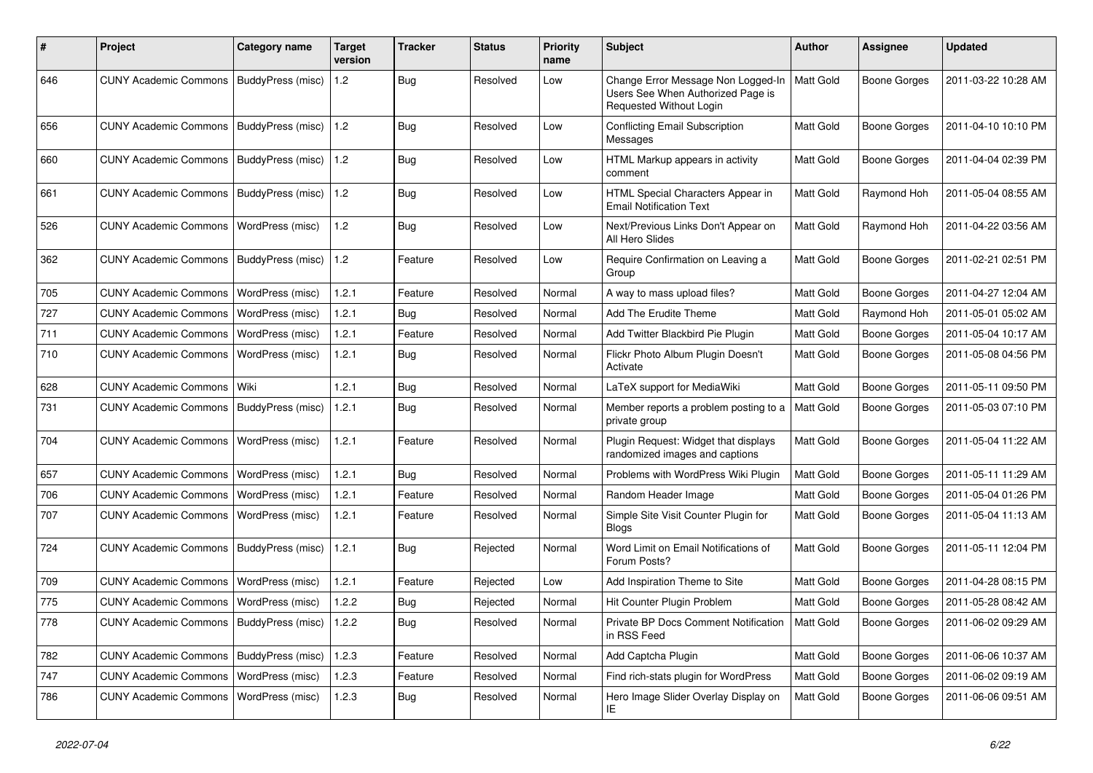| ∦   | Project                                           | <b>Category name</b>    | <b>Target</b><br>version | Tracker    | <b>Status</b> | <b>Priority</b><br>name | <b>Subject</b>                                                                                     | Author           | Assignee            | <b>Updated</b>      |
|-----|---------------------------------------------------|-------------------------|--------------------------|------------|---------------|-------------------------|----------------------------------------------------------------------------------------------------|------------------|---------------------|---------------------|
| 646 | <b>CUNY Academic Commons</b>                      | BuddyPress (misc)       | 1.2                      | Bug        | Resolved      | Low                     | Change Error Message Non Logged-In<br>Users See When Authorized Page is<br>Requested Without Login | Matt Gold        | <b>Boone Gorges</b> | 2011-03-22 10:28 AM |
| 656 | <b>CUNY Academic Commons</b>                      | BuddyPress (misc)       | 1.2                      | Bug        | Resolved      | Low                     | <b>Conflicting Email Subscription</b><br>Messages                                                  | Matt Gold        | <b>Boone Gorges</b> | 2011-04-10 10:10 PM |
| 660 | <b>CUNY Academic Commons</b>                      | BuddyPress (misc)       | 1.2                      | Bug        | Resolved      | Low                     | HTML Markup appears in activity<br>comment                                                         | <b>Matt Gold</b> | Boone Gorges        | 2011-04-04 02:39 PM |
| 661 | <b>CUNY Academic Commons</b>                      | BuddyPress (misc)       | 1.2                      | <b>Bug</b> | Resolved      | Low                     | HTML Special Characters Appear in<br><b>Email Notification Text</b>                                | Matt Gold        | Raymond Hoh         | 2011-05-04 08:55 AM |
| 526 | <b>CUNY Academic Commons</b>                      | WordPress (misc)        | 1.2                      | <b>Bug</b> | Resolved      | Low                     | Next/Previous Links Don't Appear on<br>All Hero Slides                                             | Matt Gold        | Raymond Hoh         | 2011-04-22 03:56 AM |
| 362 | <b>CUNY Academic Commons</b>                      | BuddyPress (misc)       | 1.2                      | Feature    | Resolved      | Low                     | Require Confirmation on Leaving a<br>Group                                                         | Matt Gold        | <b>Boone Gorges</b> | 2011-02-21 02:51 PM |
| 705 | <b>CUNY Academic Commons</b>                      | WordPress (misc)        | 1.2.1                    | Feature    | Resolved      | Normal                  | A way to mass upload files?                                                                        | Matt Gold        | Boone Gorges        | 2011-04-27 12:04 AM |
| 727 | <b>CUNY Academic Commons</b>                      | WordPress (misc)        | 1.2.1                    | Bug        | Resolved      | Normal                  | Add The Erudite Theme                                                                              | Matt Gold        | Raymond Hoh         | 2011-05-01 05:02 AM |
| 711 | <b>CUNY Academic Commons</b>                      | WordPress (misc)        | 1.2.1                    | Feature    | Resolved      | Normal                  | Add Twitter Blackbird Pie Plugin                                                                   | Matt Gold        | <b>Boone Gorges</b> | 2011-05-04 10:17 AM |
| 710 | <b>CUNY Academic Commons</b>                      | WordPress (misc)        | 1.2.1                    | Bug        | Resolved      | Normal                  | Flickr Photo Album Plugin Doesn't<br>Activate                                                      | Matt Gold        | <b>Boone Gorges</b> | 2011-05-08 04:56 PM |
| 628 | <b>CUNY Academic Commons</b>                      | Wiki                    | 1.2.1                    | Bug        | Resolved      | Normal                  | LaTeX support for MediaWiki                                                                        | Matt Gold        | Boone Gorges        | 2011-05-11 09:50 PM |
| 731 | <b>CUNY Academic Commons</b>                      | BuddyPress (misc)       | 1.2.1                    | Bug        | Resolved      | Normal                  | Member reports a problem posting to a<br>private group                                             | Matt Gold        | <b>Boone Gorges</b> | 2011-05-03 07:10 PM |
| 704 | <b>CUNY Academic Commons</b>                      | WordPress (misc)        | 1.2.1                    | Feature    | Resolved      | Normal                  | Plugin Request: Widget that displays<br>randomized images and captions                             | Matt Gold        | <b>Boone Gorges</b> | 2011-05-04 11:22 AM |
| 657 | <b>CUNY Academic Commons</b>                      | WordPress (misc)        | 1.2.1                    | Bug        | Resolved      | Normal                  | Problems with WordPress Wiki Plugin                                                                | Matt Gold        | <b>Boone Gorges</b> | 2011-05-11 11:29 AM |
| 706 | <b>CUNY Academic Commons</b>                      | <b>WordPress (misc)</b> | 1.2.1                    | Feature    | Resolved      | Normal                  | Random Header Image                                                                                | Matt Gold        | <b>Boone Gorges</b> | 2011-05-04 01:26 PM |
| 707 | <b>CUNY Academic Commons</b>                      | <b>WordPress (misc)</b> | 1.2.1                    | Feature    | Resolved      | Normal                  | Simple Site Visit Counter Plugin for<br>Blogs                                                      | Matt Gold        | Boone Gorges        | 2011-05-04 11:13 AM |
| 724 | <b>CUNY Academic Commons</b>                      | BuddyPress (misc)       | 1.2.1                    | Bug        | Rejected      | Normal                  | Word Limit on Email Notifications of<br>Forum Posts?                                               | Matt Gold        | Boone Gorges        | 2011-05-11 12:04 PM |
| 709 | <b>CUNY Academic Commons</b>                      | WordPress (misc)        | 1.2.1                    | Feature    | Rejected      | Low                     | Add Inspiration Theme to Site                                                                      | Matt Gold        | Boone Gorges        | 2011-04-28 08:15 PM |
| 775 | <b>CUNY Academic Commons</b>                      | <b>WordPress (misc)</b> | 1.2.2                    | <b>Bug</b> | Rejected      | Normal                  | Hit Counter Plugin Problem                                                                         | Matt Gold        | <b>Boone Gorges</b> | 2011-05-28 08:42 AM |
| 778 | CUNY Academic Commons   BuddyPress (misc)   1.2.2 |                         |                          | <b>Bug</b> | Resolved      | Normal                  | Private BP Docs Comment Notification   Matt Gold<br>in RSS Feed                                    |                  | <b>Boone Gorges</b> | 2011-06-02 09:29 AM |
| 782 | CUNY Academic Commons   BuddyPress (misc)         |                         | 1.2.3                    | Feature    | Resolved      | Normal                  | Add Captcha Plugin                                                                                 | Matt Gold        | <b>Boone Gorges</b> | 2011-06-06 10:37 AM |
| 747 | <b>CUNY Academic Commons</b>                      | WordPress (misc)        | 1.2.3                    | Feature    | Resolved      | Normal                  | Find rich-stats plugin for WordPress                                                               | Matt Gold        | <b>Boone Gorges</b> | 2011-06-02 09:19 AM |
| 786 | CUNY Academic Commons   WordPress (misc)          |                         | 1.2.3                    | Bug        | Resolved      | Normal                  | Hero Image Slider Overlay Display on<br>ΙE                                                         | Matt Gold        | Boone Gorges        | 2011-06-06 09:51 AM |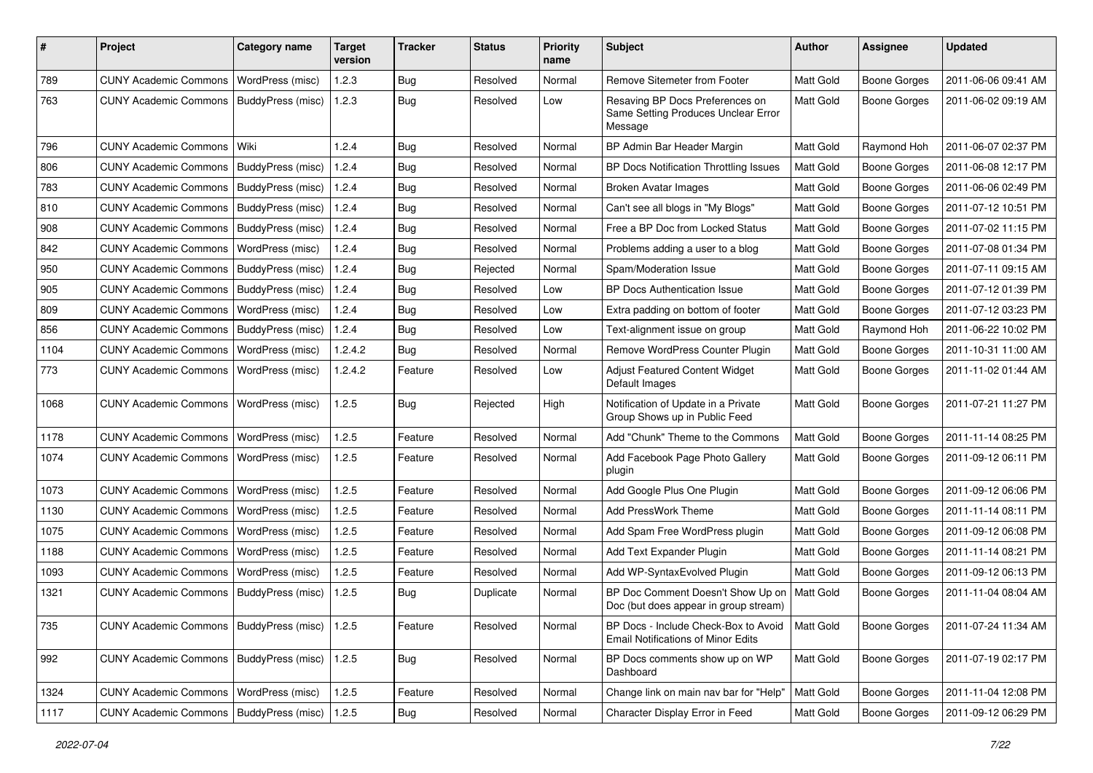| #    | <b>Project</b>                                    | <b>Category name</b>     | <b>Target</b><br>version | <b>Tracker</b> | <b>Status</b> | <b>Priority</b><br>name | Subject                                                                           | <b>Author</b> | <b>Assignee</b>     | <b>Updated</b>      |
|------|---------------------------------------------------|--------------------------|--------------------------|----------------|---------------|-------------------------|-----------------------------------------------------------------------------------|---------------|---------------------|---------------------|
| 789  | <b>CUNY Academic Commons</b>                      | WordPress (misc)         | 1.2.3                    | <b>Bug</b>     | Resolved      | Normal                  | Remove Sitemeter from Footer                                                      | Matt Gold     | <b>Boone Gorges</b> | 2011-06-06 09:41 AM |
| 763  | <b>CUNY Academic Commons</b>                      | BuddyPress (misc)        | 1.2.3                    | Bug            | Resolved      | Low                     | Resaving BP Docs Preferences on<br>Same Setting Produces Unclear Error<br>Message | Matt Gold     | <b>Boone Gorges</b> | 2011-06-02 09:19 AM |
| 796  | <b>CUNY Academic Commons</b>                      | Wiki                     | 1.2.4                    | Bug            | Resolved      | Normal                  | BP Admin Bar Header Margin                                                        | Matt Gold     | Raymond Hoh         | 2011-06-07 02:37 PM |
| 806  | <b>CUNY Academic Commons</b>                      | <b>BuddyPress (misc)</b> | 1.2.4                    | <b>Bug</b>     | Resolved      | Normal                  | BP Docs Notification Throttling Issues                                            | Matt Gold     | <b>Boone Gorges</b> | 2011-06-08 12:17 PM |
| 783  | <b>CUNY Academic Commons</b>                      | BuddyPress (misc)        | 1.2.4                    | <b>Bug</b>     | Resolved      | Normal                  | <b>Broken Avatar Images</b>                                                       | Matt Gold     | <b>Boone Gorges</b> | 2011-06-06 02:49 PM |
| 810  | <b>CUNY Academic Commons</b>                      | BuddyPress (misc)        | 1.2.4                    | <b>Bug</b>     | Resolved      | Normal                  | Can't see all blogs in "My Blogs"                                                 | Matt Gold     | <b>Boone Gorges</b> | 2011-07-12 10:51 PM |
| 908  | <b>CUNY Academic Commons</b>                      | BuddyPress (misc)        | 1.2.4                    | <b>Bug</b>     | Resolved      | Normal                  | Free a BP Doc from Locked Status                                                  | Matt Gold     | <b>Boone Gorges</b> | 2011-07-02 11:15 PM |
| 842  | <b>CUNY Academic Commons</b>                      | WordPress (misc)         | 1.2.4                    | <b>Bug</b>     | Resolved      | Normal                  | Problems adding a user to a blog                                                  | Matt Gold     | <b>Boone Gorges</b> | 2011-07-08 01:34 PM |
| 950  | <b>CUNY Academic Commons</b>                      | BuddyPress (misc)        | 1.2.4                    | Bug            | Rejected      | Normal                  | Spam/Moderation Issue                                                             | Matt Gold     | <b>Boone Gorges</b> | 2011-07-11 09:15 AM |
| 905  | <b>CUNY Academic Commons</b>                      | BuddyPress (misc)        | 1.2.4                    | <b>Bug</b>     | Resolved      | Low                     | <b>BP Docs Authentication Issue</b>                                               | Matt Gold     | <b>Boone Gorges</b> | 2011-07-12 01:39 PM |
| 809  | <b>CUNY Academic Commons</b>                      | WordPress (misc)         | 1.2.4                    | Bug            | Resolved      | Low                     | Extra padding on bottom of footer                                                 | Matt Gold     | <b>Boone Gorges</b> | 2011-07-12 03:23 PM |
| 856  | <b>CUNY Academic Commons</b>                      | BuddyPress (misc)        | 1.2.4                    | <b>Bug</b>     | Resolved      | Low                     | Text-alignment issue on group                                                     | Matt Gold     | Raymond Hoh         | 2011-06-22 10:02 PM |
| 1104 | <b>CUNY Academic Commons</b>                      | WordPress (misc)         | 1.2.4.2                  | Bug            | Resolved      | Normal                  | Remove WordPress Counter Plugin                                                   | Matt Gold     | <b>Boone Gorges</b> | 2011-10-31 11:00 AM |
| 773  | <b>CUNY Academic Commons</b>                      | WordPress (misc)         | 1.2.4.2                  | Feature        | Resolved      | Low                     | <b>Adjust Featured Content Widget</b><br>Default Images                           | Matt Gold     | <b>Boone Gorges</b> | 2011-11-02 01:44 AM |
| 1068 | <b>CUNY Academic Commons</b>                      | WordPress (misc)         | 1.2.5                    | Bug            | Rejected      | High                    | Notification of Update in a Private<br>Group Shows up in Public Feed              | Matt Gold     | <b>Boone Gorges</b> | 2011-07-21 11:27 PM |
| 1178 | <b>CUNY Academic Commons</b>                      | WordPress (misc)         | 1.2.5                    | Feature        | Resolved      | Normal                  | Add "Chunk" Theme to the Commons                                                  | Matt Gold     | <b>Boone Gorges</b> | 2011-11-14 08:25 PM |
| 1074 | <b>CUNY Academic Commons</b>                      | WordPress (misc)         | 1.2.5                    | Feature        | Resolved      | Normal                  | Add Facebook Page Photo Gallery<br>plugin                                         | Matt Gold     | <b>Boone Gorges</b> | 2011-09-12 06:11 PM |
| 1073 | <b>CUNY Academic Commons</b>                      | WordPress (misc)         | 1.2.5                    | Feature        | Resolved      | Normal                  | Add Google Plus One Plugin                                                        | Matt Gold     | <b>Boone Gorges</b> | 2011-09-12 06:06 PM |
| 1130 | <b>CUNY Academic Commons</b>                      | WordPress (misc)         | 1.2.5                    | Feature        | Resolved      | Normal                  | Add PressWork Theme                                                               | Matt Gold     | <b>Boone Gorges</b> | 2011-11-14 08:11 PM |
| 1075 | <b>CUNY Academic Commons</b>                      | WordPress (misc)         | 1.2.5                    | Feature        | Resolved      | Normal                  | Add Spam Free WordPress plugin                                                    | Matt Gold     | <b>Boone Gorges</b> | 2011-09-12 06:08 PM |
| 1188 | <b>CUNY Academic Commons</b>                      | WordPress (misc)         | 1.2.5                    | Feature        | Resolved      | Normal                  | Add Text Expander Plugin                                                          | Matt Gold     | <b>Boone Gorges</b> | 2011-11-14 08:21 PM |
| 1093 | <b>CUNY Academic Commons</b>                      | WordPress (misc)         | 1.2.5                    | Feature        | Resolved      | Normal                  | Add WP-SyntaxEvolved Plugin                                                       | Matt Gold     | <b>Boone Gorges</b> | 2011-09-12 06:13 PM |
| 1321 | <b>CUNY Academic Commons</b>                      | BuddyPress (misc)        | 1.2.5                    | Bug            | Duplicate     | Normal                  | BP Doc Comment Doesn't Show Up on<br>Doc (but does appear in group stream)        | Matt Gold     | <b>Boone Gorges</b> | 2011-11-04 08:04 AM |
| 735  | CUNY Academic Commons   BuddyPress (misc)   1.2.5 |                          |                          | Feature        | Resolved      | Normal                  | BP Docs - Include Check-Box to Avoid<br><b>Email Notifications of Minor Edits</b> | Matt Gold     | <b>Boone Gorges</b> | 2011-07-24 11:34 AM |
| 992  | CUNY Academic Commons   BuddyPress (misc)   1.2.5 |                          |                          | Bug            | Resolved      | Normal                  | BP Docs comments show up on WP<br>Dashboard                                       | Matt Gold     | Boone Gorges        | 2011-07-19 02:17 PM |
| 1324 | <b>CUNY Academic Commons</b>                      | WordPress (misc)         | 1.2.5                    | Feature        | Resolved      | Normal                  | Change link on main nav bar for "Help"                                            | Matt Gold     | <b>Boone Gorges</b> | 2011-11-04 12:08 PM |
| 1117 | CUNY Academic Commons   BuddyPress (misc)         |                          | 1.2.5                    | <b>Bug</b>     | Resolved      | Normal                  | Character Display Error in Feed                                                   | Matt Gold     | <b>Boone Gorges</b> | 2011-09-12 06:29 PM |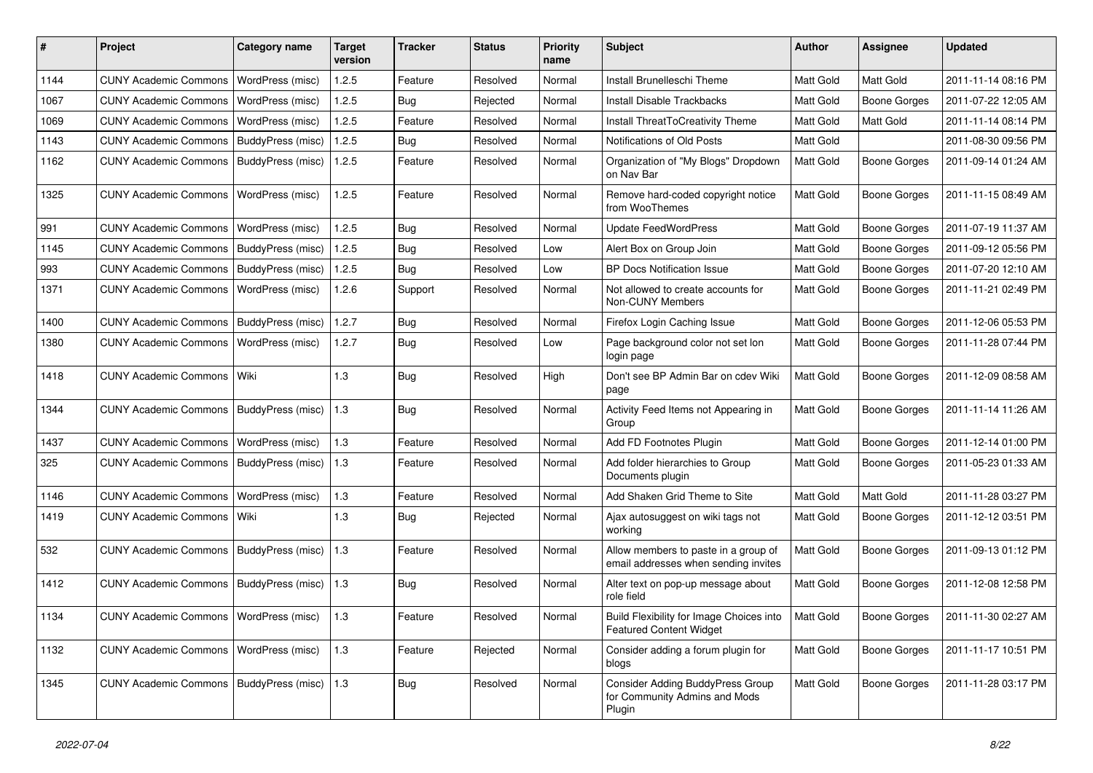| #    | Project                                  | <b>Category name</b>  | <b>Target</b><br>version | <b>Tracker</b> | <b>Status</b> | <b>Priority</b><br>name | <b>Subject</b>                                                                     | <b>Author</b> | <b>Assignee</b>     | <b>Updated</b>      |
|------|------------------------------------------|-----------------------|--------------------------|----------------|---------------|-------------------------|------------------------------------------------------------------------------------|---------------|---------------------|---------------------|
| 1144 | <b>CUNY Academic Commons</b>             | WordPress (misc)      | 1.2.5                    | Feature        | Resolved      | Normal                  | Install Brunelleschi Theme                                                         | Matt Gold     | Matt Gold           | 2011-11-14 08:16 PM |
| 1067 | <b>CUNY Academic Commons</b>             | WordPress (misc)      | 1.2.5                    | Bug            | Rejected      | Normal                  | <b>Install Disable Trackbacks</b>                                                  | Matt Gold     | <b>Boone Gorges</b> | 2011-07-22 12:05 AM |
| 1069 | <b>CUNY Academic Commons</b>             | WordPress (misc)      | 1.2.5                    | Feature        | Resolved      | Normal                  | Install ThreatToCreativity Theme                                                   | Matt Gold     | <b>Matt Gold</b>    | 2011-11-14 08:14 PM |
| 1143 | <b>CUNY Academic Commons</b>             | BuddyPress (misc)     | 1.2.5                    | Bug            | Resolved      | Normal                  | Notifications of Old Posts                                                         | Matt Gold     |                     | 2011-08-30 09:56 PM |
| 1162 | <b>CUNY Academic Commons</b>             | BuddyPress (misc)     | 1.2.5                    | Feature        | Resolved      | Normal                  | Organization of "My Blogs" Dropdown<br>on Nav Bar                                  | Matt Gold     | <b>Boone Gorges</b> | 2011-09-14 01:24 AM |
| 1325 | <b>CUNY Academic Commons</b>             | WordPress (misc)      | 1.2.5                    | Feature        | Resolved      | Normal                  | Remove hard-coded copyright notice<br>from WooThemes                               | Matt Gold     | <b>Boone Gorges</b> | 2011-11-15 08:49 AM |
| 991  | <b>CUNY Academic Commons</b>             | WordPress (misc)      | 1.2.5                    | Bug            | Resolved      | Normal                  | <b>Update FeedWordPress</b>                                                        | Matt Gold     | <b>Boone Gorges</b> | 2011-07-19 11:37 AM |
| 1145 | <b>CUNY Academic Commons</b>             | BuddyPress (misc)     | 1.2.5                    | Bug            | Resolved      | Low                     | Alert Box on Group Join                                                            | Matt Gold     | <b>Boone Gorges</b> | 2011-09-12 05:56 PM |
| 993  | <b>CUNY Academic Commons</b>             | BuddyPress (misc)     | 1.2.5                    | <b>Bug</b>     | Resolved      | Low                     | <b>BP Docs Notification Issue</b>                                                  | Matt Gold     | <b>Boone Gorges</b> | 2011-07-20 12:10 AM |
| 1371 | <b>CUNY Academic Commons</b>             | WordPress (misc)      | 1.2.6                    | Support        | Resolved      | Normal                  | Not allowed to create accounts for<br>Non-CUNY Members                             | Matt Gold     | <b>Boone Gorges</b> | 2011-11-21 02:49 PM |
| 1400 | <b>CUNY Academic Commons</b>             | BuddyPress (misc)     | 1.2.7                    | Bug            | Resolved      | Normal                  | Firefox Login Caching Issue                                                        | Matt Gold     | <b>Boone Gorges</b> | 2011-12-06 05:53 PM |
| 1380 | <b>CUNY Academic Commons</b>             | WordPress (misc)      | 1.2.7                    | Bug            | Resolved      | Low                     | Page background color not set lon<br>login page                                    | Matt Gold     | <b>Boone Gorges</b> | 2011-11-28 07:44 PM |
| 1418 | <b>CUNY Academic Commons</b>             | Wiki                  | 1.3                      | Bug            | Resolved      | High                    | Don't see BP Admin Bar on cdev Wiki<br>page                                        | Matt Gold     | <b>Boone Gorges</b> | 2011-12-09 08:58 AM |
| 1344 | <b>CUNY Academic Commons</b>             | BuddyPress (misc)     | 1.3                      | Bug            | Resolved      | Normal                  | Activity Feed Items not Appearing in<br>Group                                      | Matt Gold     | <b>Boone Gorges</b> | 2011-11-14 11:26 AM |
| 1437 | <b>CUNY Academic Commons</b>             | WordPress (misc)      | 1.3                      | Feature        | Resolved      | Normal                  | Add FD Footnotes Plugin                                                            | Matt Gold     | <b>Boone Gorges</b> | 2011-12-14 01:00 PM |
| 325  | <b>CUNY Academic Commons</b>             | BuddyPress (misc)     | 1.3                      | Feature        | Resolved      | Normal                  | Add folder hierarchies to Group<br>Documents plugin                                | Matt Gold     | <b>Boone Gorges</b> | 2011-05-23 01:33 AM |
| 1146 | <b>CUNY Academic Commons</b>             | WordPress (misc)      | 1.3                      | Feature        | Resolved      | Normal                  | Add Shaken Grid Theme to Site                                                      | Matt Gold     | <b>Matt Gold</b>    | 2011-11-28 03:27 PM |
| 1419 | <b>CUNY Academic Commons</b>             | Wiki                  | 1.3                      | <b>Bug</b>     | Rejected      | Normal                  | Ajax autosuggest on wiki tags not<br>working                                       | Matt Gold     | <b>Boone Gorges</b> | 2011-12-12 03:51 PM |
| 532  | <b>CUNY Academic Commons</b>             | BuddyPress (misc)     | 1.3                      | Feature        | Resolved      | Normal                  | Allow members to paste in a group of<br>email addresses when sending invites       | Matt Gold     | <b>Boone Gorges</b> | 2011-09-13 01:12 PM |
| 1412 | <b>CUNY Academic Commons</b>             | BuddyPress (misc)     | 1.3                      | Bug            | Resolved      | Normal                  | Alter text on pop-up message about<br>role field                                   | Matt Gold     | <b>Boone Gorges</b> | 2011-12-08 12:58 PM |
| 1134 | CUNY Academic Commons   WordPress (misc) |                       | $1.3$                    | Feature        | Resolved      | Normal                  | Build Flexibility for Image Choices into<br><b>Featured Content Widget</b>         | Matt Gold     | Boone Gorges        | 2011-11-30 02:27 AM |
| 1132 | CUNY Academic Commons   WordPress (misc) |                       | $1.3$                    | Feature        | Rejected      | Normal                  | Consider adding a forum plugin for<br>blogs                                        | Matt Gold     | Boone Gorges        | 2011-11-17 10:51 PM |
| 1345 | <b>CUNY Academic Commons</b>             | BuddyPress (misc) 1.3 |                          | Bug            | Resolved      | Normal                  | <b>Consider Adding BuddyPress Group</b><br>for Community Admins and Mods<br>Plugin | Matt Gold     | Boone Gorges        | 2011-11-28 03:17 PM |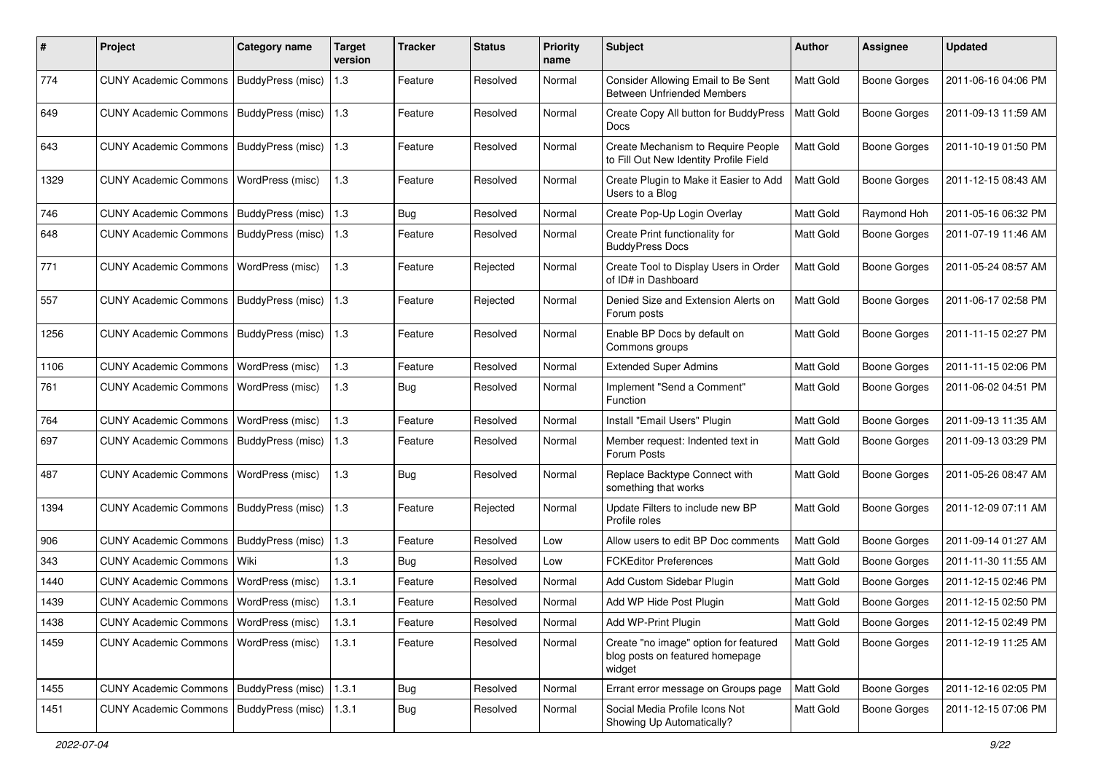| #    | Project                                   | <b>Category name</b>     | <b>Target</b><br>version | Tracker    | <b>Status</b> | <b>Priority</b><br>name | <b>Subject</b>                                                                     | <b>Author</b> | <b>Assignee</b>     | <b>Updated</b>      |
|------|-------------------------------------------|--------------------------|--------------------------|------------|---------------|-------------------------|------------------------------------------------------------------------------------|---------------|---------------------|---------------------|
| 774  | <b>CUNY Academic Commons</b>              | BuddyPress (misc)        | 1.3                      | Feature    | Resolved      | Normal                  | Consider Allowing Email to Be Sent<br><b>Between Unfriended Members</b>            | Matt Gold     | <b>Boone Gorges</b> | 2011-06-16 04:06 PM |
| 649  | <b>CUNY Academic Commons</b>              | <b>BuddyPress (misc)</b> | 1.3                      | Feature    | Resolved      | Normal                  | Create Copy All button for BuddyPress<br>Docs                                      | Matt Gold     | Boone Gorges        | 2011-09-13 11:59 AM |
| 643  | <b>CUNY Academic Commons</b>              | BuddyPress (misc)        | 1.3                      | Feature    | Resolved      | Normal                  | Create Mechanism to Require People<br>to Fill Out New Identity Profile Field       | Matt Gold     | <b>Boone Gorges</b> | 2011-10-19 01:50 PM |
| 1329 | <b>CUNY Academic Commons</b>              | WordPress (misc)         | 1.3                      | Feature    | Resolved      | Normal                  | Create Plugin to Make it Easier to Add<br>Users to a Blog                          | Matt Gold     | <b>Boone Gorges</b> | 2011-12-15 08:43 AM |
| 746  | <b>CUNY Academic Commons</b>              | BuddyPress (misc)        | $1.3$                    | Bug        | Resolved      | Normal                  | Create Pop-Up Login Overlay                                                        | Matt Gold     | Raymond Hoh         | 2011-05-16 06:32 PM |
| 648  | <b>CUNY Academic Commons</b>              | BuddyPress (misc)        | 1.3                      | Feature    | Resolved      | Normal                  | Create Print functionality for<br><b>BuddyPress Docs</b>                           | Matt Gold     | <b>Boone Gorges</b> | 2011-07-19 11:46 AM |
| 771  | <b>CUNY Academic Commons</b>              | WordPress (misc)         | 1.3                      | Feature    | Rejected      | Normal                  | Create Tool to Display Users in Order<br>of ID# in Dashboard                       | Matt Gold     | <b>Boone Gorges</b> | 2011-05-24 08:57 AM |
| 557  | <b>CUNY Academic Commons</b>              | BuddyPress (misc)        | 1.3                      | Feature    | Rejected      | Normal                  | Denied Size and Extension Alerts on<br>Forum posts                                 | Matt Gold     | <b>Boone Gorges</b> | 2011-06-17 02:58 PM |
| 1256 | <b>CUNY Academic Commons</b>              | BuddyPress (misc)        | 1.3                      | Feature    | Resolved      | Normal                  | Enable BP Docs by default on<br>Commons groups                                     | Matt Gold     | <b>Boone Gorges</b> | 2011-11-15 02:27 PM |
| 1106 | <b>CUNY Academic Commons</b>              | WordPress (misc)         | 1.3                      | Feature    | Resolved      | Normal                  | <b>Extended Super Admins</b>                                                       | Matt Gold     | <b>Boone Gorges</b> | 2011-11-15 02:06 PM |
| 761  | <b>CUNY Academic Commons</b>              | WordPress (misc)         | 1.3                      | <b>Bug</b> | Resolved      | Normal                  | Implement "Send a Comment"<br>Function                                             | Matt Gold     | <b>Boone Gorges</b> | 2011-06-02 04:51 PM |
| 764  | <b>CUNY Academic Commons</b>              | WordPress (misc)         | 1.3                      | Feature    | Resolved      | Normal                  | Install "Email Users" Plugin                                                       | Matt Gold     | <b>Boone Gorges</b> | 2011-09-13 11:35 AM |
| 697  | <b>CUNY Academic Commons</b>              | BuddyPress (misc)        | 1.3                      | Feature    | Resolved      | Normal                  | Member request: Indented text in<br>Forum Posts                                    | Matt Gold     | <b>Boone Gorges</b> | 2011-09-13 03:29 PM |
| 487  | <b>CUNY Academic Commons</b>              | WordPress (misc)         | 1.3                      | Bug        | Resolved      | Normal                  | Replace Backtype Connect with<br>something that works                              | Matt Gold     | <b>Boone Gorges</b> | 2011-05-26 08:47 AM |
| 1394 | <b>CUNY Academic Commons</b>              | BuddyPress (misc)        | 1.3                      | Feature    | Rejected      | Normal                  | Update Filters to include new BP<br>Profile roles                                  | Matt Gold     | Boone Gorges        | 2011-12-09 07:11 AM |
| 906  | <b>CUNY Academic Commons</b>              | BuddyPress (misc)        | 1.3                      | Feature    | Resolved      | Low                     | Allow users to edit BP Doc comments                                                | Matt Gold     | <b>Boone Gorges</b> | 2011-09-14 01:27 AM |
| 343  | <b>CUNY Academic Commons</b>              | Wiki                     | 1.3                      | <b>Bug</b> | Resolved      | Low                     | <b>FCKEditor Preferences</b>                                                       | Matt Gold     | <b>Boone Gorges</b> | 2011-11-30 11:55 AM |
| 1440 | <b>CUNY Academic Commons</b>              | WordPress (misc)         | 1.3.1                    | Feature    | Resolved      | Normal                  | Add Custom Sidebar Plugin                                                          | Matt Gold     | <b>Boone Gorges</b> | 2011-12-15 02:46 PM |
| 1439 | <b>CUNY Academic Commons</b>              | WordPress (misc)         | 1.3.1                    | Feature    | Resolved      | Normal                  | Add WP Hide Post Plugin                                                            | Matt Gold     | <b>Boone Gorges</b> | 2011-12-15 02:50 PM |
| 1438 | CUNY Academic Commons   WordPress (misc)  |                          | 1.3.1                    | Feature    | Resolved      | Normal                  | Add WP-Print Plugin                                                                | Matt Gold     | <b>Boone Gorges</b> | 2011-12-15 02:49 PM |
| 1459 | <b>CUNY Academic Commons</b>              | WordPress (misc)         | 1.3.1                    | Feature    | Resolved      | Normal                  | Create "no image" option for featured<br>blog posts on featured homepage<br>widget | Matt Gold     | Boone Gorges        | 2011-12-19 11:25 AM |
| 1455 | CUNY Academic Commons   BuddyPress (misc) |                          | 1.3.1                    | Bug        | Resolved      | Normal                  | Errant error message on Groups page                                                | Matt Gold     | <b>Boone Gorges</b> | 2011-12-16 02:05 PM |
| 1451 | CUNY Academic Commons   BuddyPress (misc) |                          | 1.3.1                    | <b>Bug</b> | Resolved      | Normal                  | Social Media Profile Icons Not<br>Showing Up Automatically?                        | Matt Gold     | <b>Boone Gorges</b> | 2011-12-15 07:06 PM |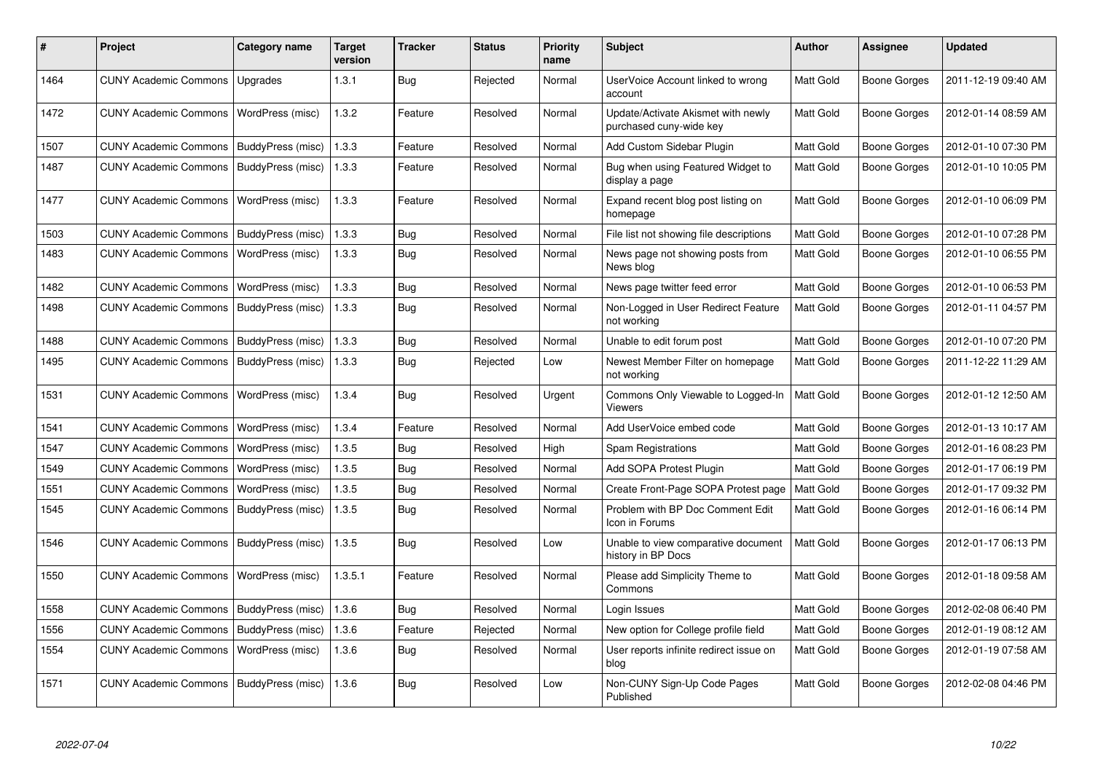| #    | <b>Project</b>                           | Category name     | <b>Target</b><br>version | <b>Tracker</b> | <b>Status</b> | Priority<br>name | <b>Subject</b>                                                | <b>Author</b> | Assignee            | <b>Updated</b>      |
|------|------------------------------------------|-------------------|--------------------------|----------------|---------------|------------------|---------------------------------------------------------------|---------------|---------------------|---------------------|
| 1464 | <b>CUNY Academic Commons</b>             | Upgrades          | 1.3.1                    | <b>Bug</b>     | Rejected      | Normal           | UserVoice Account linked to wrong<br>account                  | Matt Gold     | <b>Boone Gorges</b> | 2011-12-19 09:40 AM |
| 1472 | CUNY Academic Commons   WordPress (misc) |                   | 1.3.2                    | Feature        | Resolved      | Normal           | Update/Activate Akismet with newly<br>purchased cuny-wide key | Matt Gold     | Boone Gorges        | 2012-01-14 08:59 AM |
| 1507 | <b>CUNY Academic Commons</b>             | BuddyPress (misc) | 1.3.3                    | Feature        | Resolved      | Normal           | Add Custom Sidebar Plugin                                     | Matt Gold     | <b>Boone Gorges</b> | 2012-01-10 07:30 PM |
| 1487 | <b>CUNY Academic Commons</b>             | BuddyPress (misc) | 1.3.3                    | Feature        | Resolved      | Normal           | Bug when using Featured Widget to<br>display a page           | Matt Gold     | Boone Gorges        | 2012-01-10 10:05 PM |
| 1477 | <b>CUNY Academic Commons</b>             | WordPress (misc)  | 1.3.3                    | Feature        | Resolved      | Normal           | Expand recent blog post listing on<br>homepage                | Matt Gold     | Boone Gorges        | 2012-01-10 06:09 PM |
| 1503 | <b>CUNY Academic Commons</b>             | BuddyPress (misc) | 1.3.3                    | Bug            | Resolved      | Normal           | File list not showing file descriptions                       | Matt Gold     | Boone Gorges        | 2012-01-10 07:28 PM |
| 1483 | <b>CUNY Academic Commons</b>             | WordPress (misc)  | 1.3.3                    | <b>Bug</b>     | Resolved      | Normal           | News page not showing posts from<br>News blog                 | Matt Gold     | Boone Gorges        | 2012-01-10 06:55 PM |
| 1482 | <b>CUNY Academic Commons</b>             | WordPress (misc)  | 1.3.3                    | Bug            | Resolved      | Normal           | News page twitter feed error                                  | Matt Gold     | Boone Gorges        | 2012-01-10 06:53 PM |
| 1498 | <b>CUNY Academic Commons</b>             | BuddyPress (misc) | 1.3.3                    | Bug            | Resolved      | Normal           | Non-Logged in User Redirect Feature<br>not working            | Matt Gold     | <b>Boone Gorges</b> | 2012-01-11 04:57 PM |
| 1488 | <b>CUNY Academic Commons</b>             | BuddyPress (misc) | 1.3.3                    | Bug            | Resolved      | Normal           | Unable to edit forum post                                     | Matt Gold     | Boone Gorges        | 2012-01-10 07:20 PM |
| 1495 | <b>CUNY Academic Commons</b>             | BuddyPress (misc) | 1.3.3                    | <b>Bug</b>     | Rejected      | Low              | Newest Member Filter on homepage<br>not working               | Matt Gold     | Boone Gorges        | 2011-12-22 11:29 AM |
| 1531 | <b>CUNY Academic Commons</b>             | WordPress (misc)  | 1.3.4                    | <b>Bug</b>     | Resolved      | Urgent           | Commons Only Viewable to Logged-In<br>Viewers                 | Matt Gold     | Boone Gorges        | 2012-01-12 12:50 AM |
| 1541 | <b>CUNY Academic Commons</b>             | WordPress (misc)  | 1.3.4                    | Feature        | Resolved      | Normal           | Add UserVoice embed code                                      | Matt Gold     | <b>Boone Gorges</b> | 2012-01-13 10:17 AM |
| 1547 | <b>CUNY Academic Commons</b>             | WordPress (misc)  | 1.3.5                    | <b>Bug</b>     | Resolved      | High             | Spam Registrations                                            | Matt Gold     | <b>Boone Gorges</b> | 2012-01-16 08:23 PM |
| 1549 | <b>CUNY Academic Commons</b>             | WordPress (misc)  | 1.3.5                    | Bug            | Resolved      | Normal           | Add SOPA Protest Plugin                                       | Matt Gold     | Boone Gorges        | 2012-01-17 06:19 PM |
| 1551 | <b>CUNY Academic Commons</b>             | WordPress (misc)  | 1.3.5                    | <b>Bug</b>     | Resolved      | Normal           | Create Front-Page SOPA Protest page                           | Matt Gold     | <b>Boone Gorges</b> | 2012-01-17 09:32 PM |
| 1545 | <b>CUNY Academic Commons</b>             | BuddyPress (misc) | 1.3.5                    | Bug            | Resolved      | Normal           | Problem with BP Doc Comment Edit<br>Icon in Forums            | Matt Gold     | Boone Gorges        | 2012-01-16 06:14 PM |
| 1546 | <b>CUNY Academic Commons</b>             | BuddyPress (misc) | 1.3.5                    | Bug            | Resolved      | Low              | Unable to view comparative document<br>history in BP Docs     | Matt Gold     | <b>Boone Gorges</b> | 2012-01-17 06:13 PM |
| 1550 | <b>CUNY Academic Commons</b>             | WordPress (misc)  | 1.3.5.1                  | Feature        | Resolved      | Normal           | Please add Simplicity Theme to<br>Commons                     | Matt Gold     | Boone Gorges        | 2012-01-18 09:58 AM |
| 1558 | <b>CUNY Academic Commons</b>             | BuddyPress (misc) | 1.3.6                    | Bug            | Resolved      | Normal           | Login Issues                                                  | Matt Gold     | Boone Gorges        | 2012-02-08 06:40 PM |
| 1556 | <b>CUNY Academic Commons</b>             | BuddyPress (misc) | 1.3.6                    | Feature        | Rejected      | Normal           | New option for College profile field                          | Matt Gold     | <b>Boone Gorges</b> | 2012-01-19 08:12 AM |
| 1554 | <b>CUNY Academic Commons</b>             | WordPress (misc)  | 1.3.6                    | Bug            | Resolved      | Normal           | User reports infinite redirect issue on<br>blog               | Matt Gold     | Boone Gorges        | 2012-01-19 07:58 AM |
| 1571 | <b>CUNY Academic Commons</b>             | BuddyPress (misc) | 1.3.6                    | Bug            | Resolved      | Low              | Non-CUNY Sign-Up Code Pages<br>Published                      | Matt Gold     | <b>Boone Gorges</b> | 2012-02-08 04:46 PM |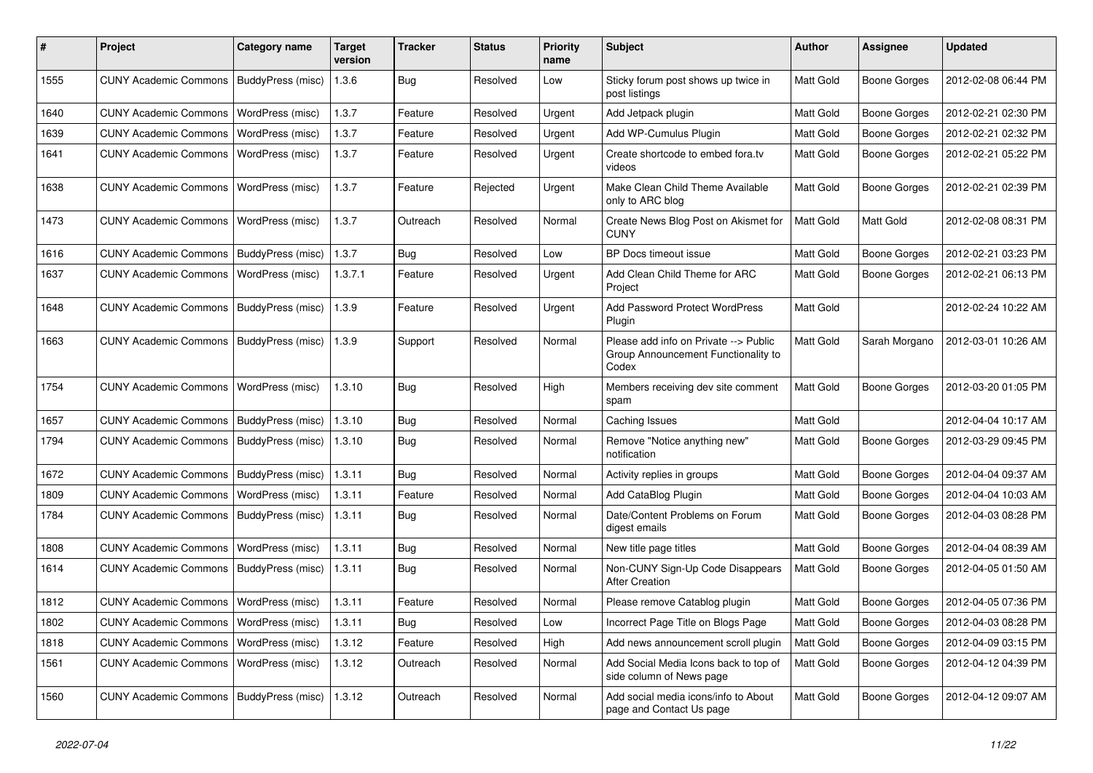| #    | Project                                   | <b>Category name</b> | <b>Target</b><br>version | <b>Tracker</b> | <b>Status</b> | <b>Priority</b><br>name | <b>Subject</b>                                                                        | <b>Author</b>    | <b>Assignee</b>     | <b>Updated</b>      |
|------|-------------------------------------------|----------------------|--------------------------|----------------|---------------|-------------------------|---------------------------------------------------------------------------------------|------------------|---------------------|---------------------|
| 1555 | <b>CUNY Academic Commons</b>              | BuddyPress (misc)    | 1.3.6                    | <b>Bug</b>     | Resolved      | Low                     | Sticky forum post shows up twice in<br>post listings                                  | Matt Gold        | <b>Boone Gorges</b> | 2012-02-08 06:44 PM |
| 1640 | <b>CUNY Academic Commons</b>              | WordPress (misc)     | 1.3.7                    | Feature        | Resolved      | Urgent                  | Add Jetpack plugin                                                                    | Matt Gold        | <b>Boone Gorges</b> | 2012-02-21 02:30 PM |
| 1639 | <b>CUNY Academic Commons</b>              | WordPress (misc)     | 1.3.7                    | Feature        | Resolved      | Urgent                  | Add WP-Cumulus Plugin                                                                 | Matt Gold        | <b>Boone Gorges</b> | 2012-02-21 02:32 PM |
| 1641 | <b>CUNY Academic Commons</b>              | WordPress (misc)     | 1.3.7                    | Feature        | Resolved      | Urgent                  | Create shortcode to embed fora.tv<br>videos                                           | Matt Gold        | <b>Boone Gorges</b> | 2012-02-21 05:22 PM |
| 1638 | <b>CUNY Academic Commons</b>              | WordPress (misc)     | 1.3.7                    | Feature        | Rejected      | Urgent                  | Make Clean Child Theme Available<br>only to ARC blog                                  | Matt Gold        | <b>Boone Gorges</b> | 2012-02-21 02:39 PM |
| 1473 | <b>CUNY Academic Commons</b>              | WordPress (misc)     | 1.3.7                    | Outreach       | Resolved      | Normal                  | Create News Blog Post on Akismet for<br><b>CUNY</b>                                   | Matt Gold        | Matt Gold           | 2012-02-08 08:31 PM |
| 1616 | <b>CUNY Academic Commons</b>              | BuddyPress (misc)    | 1.3.7                    | Bug            | Resolved      | Low                     | BP Docs timeout issue                                                                 | Matt Gold        | <b>Boone Gorges</b> | 2012-02-21 03:23 PM |
| 1637 | <b>CUNY Academic Commons</b>              | WordPress (misc)     | 1.3.7.1                  | Feature        | Resolved      | Urgent                  | Add Clean Child Theme for ARC<br>Project                                              | Matt Gold        | <b>Boone Gorges</b> | 2012-02-21 06:13 PM |
| 1648 | <b>CUNY Academic Commons</b>              | BuddyPress (misc)    | 1.3.9                    | Feature        | Resolved      | Urgent                  | Add Password Protect WordPress<br>Plugin                                              | Matt Gold        |                     | 2012-02-24 10:22 AM |
| 1663 | <b>CUNY Academic Commons</b>              | BuddyPress (misc)    | 1.3.9                    | Support        | Resolved      | Normal                  | Please add info on Private --> Public<br>Group Announcement Functionality to<br>Codex | Matt Gold        | Sarah Morgano       | 2012-03-01 10:26 AM |
| 1754 | <b>CUNY Academic Commons</b>              | WordPress (misc)     | 1.3.10                   | <b>Bug</b>     | Resolved      | High                    | Members receiving dev site comment<br>spam                                            | Matt Gold        | <b>Boone Gorges</b> | 2012-03-20 01:05 PM |
| 1657 | <b>CUNY Academic Commons</b>              | BuddyPress (misc)    | 1.3.10                   | Bug            | Resolved      | Normal                  | Caching Issues                                                                        | Matt Gold        |                     | 2012-04-04 10:17 AM |
| 1794 | <b>CUNY Academic Commons</b>              | BuddyPress (misc)    | 1.3.10                   | <b>Bug</b>     | Resolved      | Normal                  | Remove "Notice anything new"<br>notification                                          | Matt Gold        | <b>Boone Gorges</b> | 2012-03-29 09:45 PM |
| 1672 | <b>CUNY Academic Commons</b>              | BuddyPress (misc)    | 1.3.11                   | Bug            | Resolved      | Normal                  | Activity replies in groups                                                            | Matt Gold        | <b>Boone Gorges</b> | 2012-04-04 09:37 AM |
| 1809 | <b>CUNY Academic Commons</b>              | WordPress (misc)     | 1.3.11                   | Feature        | Resolved      | Normal                  | Add CataBlog Plugin                                                                   | Matt Gold        | <b>Boone Gorges</b> | 2012-04-04 10:03 AM |
| 1784 | <b>CUNY Academic Commons</b>              | BuddyPress (misc)    | 1.3.11                   | Bug            | Resolved      | Normal                  | Date/Content Problems on Forum<br>digest emails                                       | Matt Gold        | <b>Boone Gorges</b> | 2012-04-03 08:28 PM |
| 1808 | <b>CUNY Academic Commons</b>              | WordPress (misc)     | 1.3.11                   | Bug            | Resolved      | Normal                  | New title page titles                                                                 | Matt Gold        | <b>Boone Gorges</b> | 2012-04-04 08:39 AM |
| 1614 | <b>CUNY Academic Commons</b>              | BuddyPress (misc)    | 1.3.11                   | Bug            | Resolved      | Normal                  | Non-CUNY Sign-Up Code Disappears<br><b>After Creation</b>                             | Matt Gold        | <b>Boone Gorges</b> | 2012-04-05 01:50 AM |
| 1812 | <b>CUNY Academic Commons</b>              | WordPress (misc)     | 1.3.11                   | Feature        | Resolved      | Normal                  | Please remove Catablog plugin                                                         | <b>Matt Gold</b> | <b>Boone Gorges</b> | 2012-04-05 07:36 PM |
| 1802 | CUNY Academic Commons   WordPress (misc)  |                      | 1.3.11                   | Bug            | Resolved      | Low                     | Incorrect Page Title on Blogs Page                                                    | Matt Gold        | <b>Boone Gorges</b> | 2012-04-03 08:28 PM |
| 1818 | <b>CUNY Academic Commons</b>              | WordPress (misc)     | 1.3.12                   | Feature        | Resolved      | High                    | Add news announcement scroll plugin                                                   | Matt Gold        | Boone Gorges        | 2012-04-09 03:15 PM |
| 1561 | <b>CUNY Academic Commons</b>              | WordPress (misc)     | 1.3.12                   | Outreach       | Resolved      | Normal                  | Add Social Media Icons back to top of<br>side column of News page                     | Matt Gold        | <b>Boone Gorges</b> | 2012-04-12 04:39 PM |
| 1560 | CUNY Academic Commons   BuddyPress (misc) |                      | 1.3.12                   | Outreach       | Resolved      | Normal                  | Add social media icons/info to About<br>page and Contact Us page                      | Matt Gold        | Boone Gorges        | 2012-04-12 09:07 AM |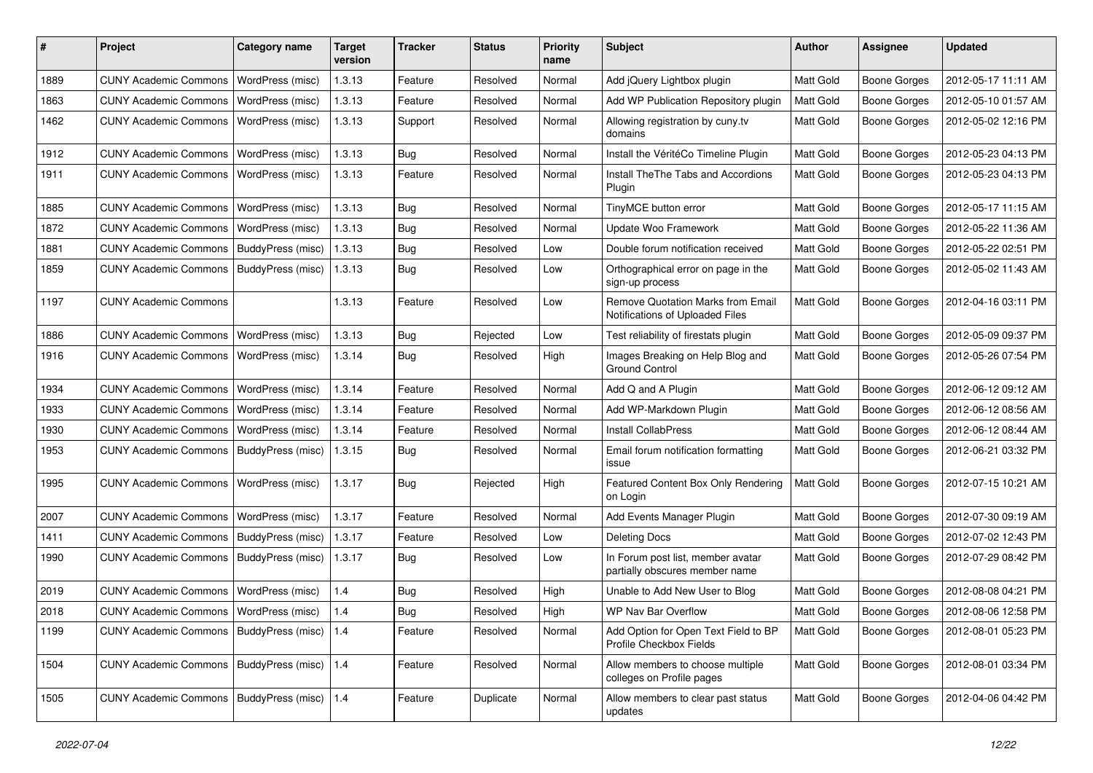| #    | Project                                         | <b>Category name</b>    | <b>Target</b><br>version | <b>Tracker</b> | <b>Status</b> | <b>Priority</b><br>name | <b>Subject</b>                                                       | Author           | Assignee            | <b>Updated</b>      |
|------|-------------------------------------------------|-------------------------|--------------------------|----------------|---------------|-------------------------|----------------------------------------------------------------------|------------------|---------------------|---------------------|
| 1889 | <b>CUNY Academic Commons</b>                    | WordPress (misc)        | 1.3.13                   | Feature        | Resolved      | Normal                  | Add jQuery Lightbox plugin                                           | Matt Gold        | <b>Boone Gorges</b> | 2012-05-17 11:11 AM |
| 1863 | <b>CUNY Academic Commons</b>                    | WordPress (misc)        | 1.3.13                   | Feature        | Resolved      | Normal                  | Add WP Publication Repository plugin                                 | Matt Gold        | <b>Boone Gorges</b> | 2012-05-10 01:57 AM |
| 1462 | <b>CUNY Academic Commons</b>                    | WordPress (misc)        | 1.3.13                   | Support        | Resolved      | Normal                  | Allowing registration by cuny.tv<br>domains                          | Matt Gold        | Boone Gorges        | 2012-05-02 12:16 PM |
| 1912 | <b>CUNY Academic Commons</b>                    | WordPress (misc)        | 1.3.13                   | Bug            | Resolved      | Normal                  | Install the VéritéCo Timeline Plugin                                 | Matt Gold        | <b>Boone Gorges</b> | 2012-05-23 04:13 PM |
| 1911 | <b>CUNY Academic Commons</b>                    | WordPress (misc)        | 1.3.13                   | Feature        | Resolved      | Normal                  | <b>Install TheThe Tabs and Accordions</b><br>Plugin                  | Matt Gold        | <b>Boone Gorges</b> | 2012-05-23 04:13 PM |
| 1885 | <b>CUNY Academic Commons</b>                    | WordPress (misc)        | 1.3.13                   | Bug            | Resolved      | Normal                  | TinyMCE button error                                                 | Matt Gold        | Boone Gorges        | 2012-05-17 11:15 AM |
| 1872 | <b>CUNY Academic Commons</b>                    | WordPress (misc)        | 1.3.13                   | Bug            | Resolved      | Normal                  | Update Woo Framework                                                 | Matt Gold        | <b>Boone Gorges</b> | 2012-05-22 11:36 AM |
| 1881 | <b>CUNY Academic Commons</b>                    | BuddyPress (misc)       | 1.3.13                   | <b>Bug</b>     | Resolved      | Low                     | Double forum notification received                                   | Matt Gold        | <b>Boone Gorges</b> | 2012-05-22 02:51 PM |
| 1859 | <b>CUNY Academic Commons</b>                    | BuddyPress (misc)       | 1.3.13                   | <b>Bug</b>     | Resolved      | Low                     | Orthographical error on page in the<br>sign-up process               | Matt Gold        | Boone Gorges        | 2012-05-02 11:43 AM |
| 1197 | <b>CUNY Academic Commons</b>                    |                         | 1.3.13                   | Feature        | Resolved      | Low                     | Remove Quotation Marks from Email<br>Notifications of Uploaded Files | Matt Gold        | <b>Boone Gorges</b> | 2012-04-16 03:11 PM |
| 1886 | <b>CUNY Academic Commons</b>                    | WordPress (misc)        | 1.3.13                   | Bug            | Rejected      | Low                     | Test reliability of firestats plugin                                 | Matt Gold        | Boone Gorges        | 2012-05-09 09:37 PM |
| 1916 | <b>CUNY Academic Commons</b>                    | WordPress (misc)        | 1.3.14                   | Bug            | Resolved      | High                    | Images Breaking on Help Blog and<br><b>Ground Control</b>            | Matt Gold        | Boone Gorges        | 2012-05-26 07:54 PM |
| 1934 | <b>CUNY Academic Commons</b>                    | WordPress (misc)        | 1.3.14                   | Feature        | Resolved      | Normal                  | Add Q and A Plugin                                                   | Matt Gold        | Boone Gorges        | 2012-06-12 09:12 AM |
| 1933 | <b>CUNY Academic Commons</b>                    | WordPress (misc)        | 1.3.14                   | Feature        | Resolved      | Normal                  | Add WP-Markdown Plugin                                               | Matt Gold        | <b>Boone Gorges</b> | 2012-06-12 08:56 AM |
| 1930 | <b>CUNY Academic Commons</b>                    | WordPress (misc)        | 1.3.14                   | Feature        | Resolved      | Normal                  | <b>Install CollabPress</b>                                           | Matt Gold        | <b>Boone Gorges</b> | 2012-06-12 08:44 AM |
| 1953 | <b>CUNY Academic Commons</b>                    | BuddyPress (misc)       | 1.3.15                   | <b>Bug</b>     | Resolved      | Normal                  | Email forum notification formatting<br>issue                         | Matt Gold        | Boone Gorges        | 2012-06-21 03:32 PM |
| 1995 | <b>CUNY Academic Commons</b>                    | WordPress (misc)        | 1.3.17                   | Bug            | Rejected      | High                    | Featured Content Box Only Rendering<br>on Login                      | Matt Gold        | Boone Gorges        | 2012-07-15 10:21 AM |
| 2007 | <b>CUNY Academic Commons</b>                    | WordPress (misc)        | 1.3.17                   | Feature        | Resolved      | Normal                  | Add Events Manager Plugin                                            | Matt Gold        | <b>Boone Gorges</b> | 2012-07-30 09:19 AM |
| 1411 | <b>CUNY Academic Commons</b>                    | BuddyPress (misc)       | 1.3.17                   | Feature        | Resolved      | Low                     | <b>Deleting Docs</b>                                                 | Matt Gold        | <b>Boone Gorges</b> | 2012-07-02 12:43 PM |
| 1990 | <b>CUNY Academic Commons</b>                    | BuddyPress (misc)       | 1.3.17                   | Bug            | Resolved      | Low                     | In Forum post list, member avatar<br>partially obscures member name  | Matt Gold        | <b>Boone Gorges</b> | 2012-07-29 08:42 PM |
| 2019 | <b>CUNY Academic Commons</b>                    | WordPress (misc)        | 1.4                      | Bug            | Resolved      | High                    | Unable to Add New User to Blog                                       | Matt Gold        | <b>Boone Gorges</b> | 2012-08-08 04:21 PM |
| 2018 | CUNY Academic Commons   WordPress (misc)        |                         | 1.4                      | <b>Bug</b>     | Resolved      | High                    | WP Nav Bar Overflow                                                  | <b>Matt Gold</b> | Boone Gorges        | 2012-08-06 12:58 PM |
| 1199 | CUNY Academic Commons   BuddyPress (misc)       |                         | 1.4                      | Feature        | Resolved      | Normal                  | Add Option for Open Text Field to BP<br>Profile Checkbox Fields      | Matt Gold        | Boone Gorges        | 2012-08-01 05:23 PM |
| 1504 | CUNY Academic Commons   BuddyPress (misc)   1.4 |                         |                          | Feature        | Resolved      | Normal                  | Allow members to choose multiple<br>colleges on Profile pages        | Matt Gold        | Boone Gorges        | 2012-08-01 03:34 PM |
| 1505 | <b>CUNY Academic Commons</b>                    | BuddyPress (misc)   1.4 |                          | Feature        | Duplicate     | Normal                  | Allow members to clear past status<br>updates                        | Matt Gold        | Boone Gorges        | 2012-04-06 04:42 PM |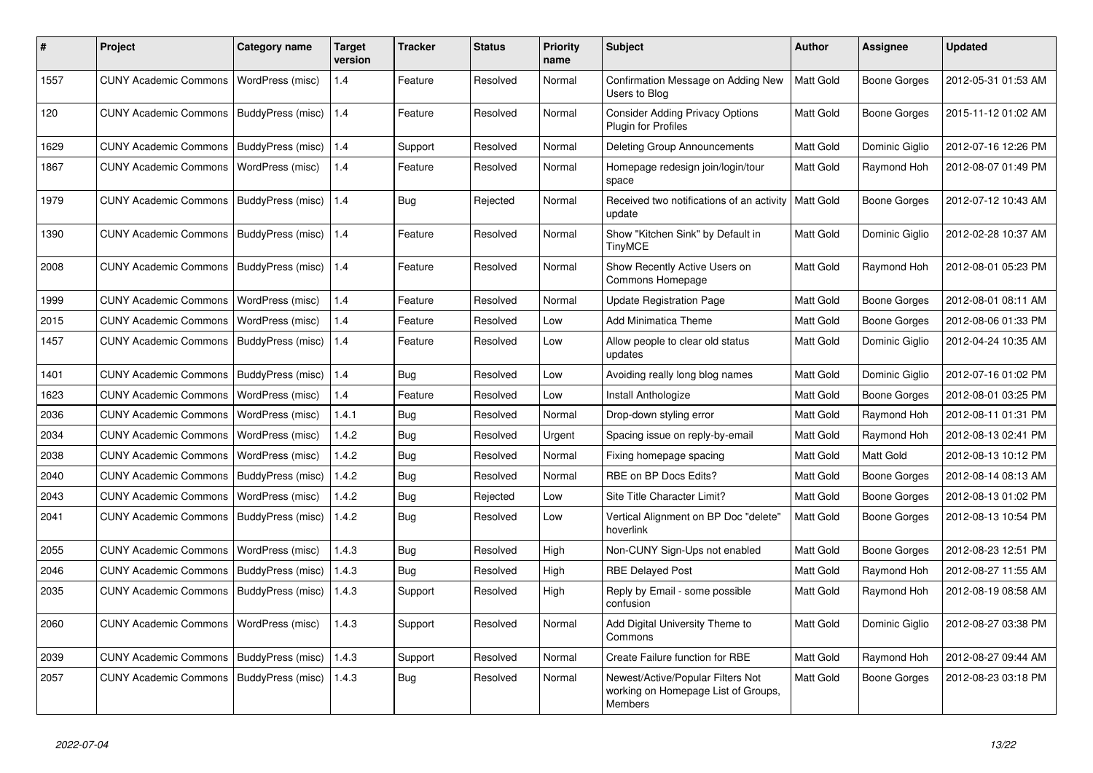| #    | Project                      | <b>Category name</b>    | <b>Target</b><br>version | <b>Tracker</b> | <b>Status</b> | Priority<br>name | <b>Subject</b>                                                                      | <b>Author</b> | <b>Assignee</b>     | <b>Updated</b>      |
|------|------------------------------|-------------------------|--------------------------|----------------|---------------|------------------|-------------------------------------------------------------------------------------|---------------|---------------------|---------------------|
| 1557 | <b>CUNY Academic Commons</b> | WordPress (misc)        | 1.4                      | Feature        | Resolved      | Normal           | Confirmation Message on Adding New<br>Users to Blog                                 | Matt Gold     | <b>Boone Gorges</b> | 2012-05-31 01:53 AM |
| 120  | <b>CUNY Academic Commons</b> | BuddyPress (misc)       | 1.4                      | Feature        | Resolved      | Normal           | <b>Consider Adding Privacy Options</b><br>Plugin for Profiles                       | Matt Gold     | <b>Boone Gorges</b> | 2015-11-12 01:02 AM |
| 1629 | <b>CUNY Academic Commons</b> | BuddyPress (misc)       | 1.4                      | Support        | Resolved      | Normal           | Deleting Group Announcements                                                        | Matt Gold     | Dominic Giglio      | 2012-07-16 12:26 PM |
| 1867 | <b>CUNY Academic Commons</b> | WordPress (misc)        | 1.4                      | Feature        | Resolved      | Normal           | Homepage redesign join/login/tour<br>space                                          | Matt Gold     | Raymond Hoh         | 2012-08-07 01:49 PM |
| 1979 | <b>CUNY Academic Commons</b> | BuddyPress (misc)   1.4 |                          | Bug            | Rejected      | Normal           | Received two notifications of an activity<br>update                                 | Matt Gold     | <b>Boone Gorges</b> | 2012-07-12 10:43 AM |
| 1390 | <b>CUNY Academic Commons</b> | BuddyPress (misc)   1.4 |                          | Feature        | Resolved      | Normal           | Show "Kitchen Sink" by Default in<br><b>TinyMCE</b>                                 | Matt Gold     | Dominic Giglio      | 2012-02-28 10:37 AM |
| 2008 | <b>CUNY Academic Commons</b> | BuddyPress (misc)       | 1.4                      | Feature        | Resolved      | Normal           | Show Recently Active Users on<br>Commons Homepage                                   | Matt Gold     | Raymond Hoh         | 2012-08-01 05:23 PM |
| 1999 | <b>CUNY Academic Commons</b> | WordPress (misc)        | 1.4                      | Feature        | Resolved      | Normal           | Update Registration Page                                                            | Matt Gold     | <b>Boone Gorges</b> | 2012-08-01 08:11 AM |
| 2015 | <b>CUNY Academic Commons</b> | WordPress (misc)        | 1.4                      | Feature        | Resolved      | Low              | <b>Add Minimatica Theme</b>                                                         | Matt Gold     | <b>Boone Gorges</b> | 2012-08-06 01:33 PM |
| 1457 | <b>CUNY Academic Commons</b> | BuddyPress (misc)       | 1.4                      | Feature        | Resolved      | Low              | Allow people to clear old status<br>updates                                         | Matt Gold     | Dominic Giglio      | 2012-04-24 10:35 AM |
| 1401 | <b>CUNY Academic Commons</b> | BuddyPress (misc)       | 1.4                      | Bug            | Resolved      | Low              | Avoiding really long blog names                                                     | Matt Gold     | Dominic Giglio      | 2012-07-16 01:02 PM |
| 1623 | <b>CUNY Academic Commons</b> | WordPress (misc)        | 1.4                      | Feature        | Resolved      | Low              | Install Anthologize                                                                 | Matt Gold     | <b>Boone Gorges</b> | 2012-08-01 03:25 PM |
| 2036 | <b>CUNY Academic Commons</b> | WordPress (misc)        | 1.4.1                    | Bug            | Resolved      | Normal           | Drop-down styling error                                                             | Matt Gold     | Raymond Hoh         | 2012-08-11 01:31 PM |
| 2034 | <b>CUNY Academic Commons</b> | WordPress (misc)        | 1.4.2                    | Bug            | Resolved      | Urgent           | Spacing issue on reply-by-email                                                     | Matt Gold     | Raymond Hoh         | 2012-08-13 02:41 PM |
| 2038 | <b>CUNY Academic Commons</b> | WordPress (misc)        | 1.4.2                    | Bug            | Resolved      | Normal           | Fixing homepage spacing                                                             | Matt Gold     | Matt Gold           | 2012-08-13 10:12 PM |
| 2040 | <b>CUNY Academic Commons</b> | BuddyPress (misc)       | 1.4.2                    | <b>Bug</b>     | Resolved      | Normal           | RBE on BP Docs Edits?                                                               | Matt Gold     | <b>Boone Gorges</b> | 2012-08-14 08:13 AM |
| 2043 | <b>CUNY Academic Commons</b> | WordPress (misc)        | 1.4.2                    | <b>Bug</b>     | Rejected      | Low              | Site Title Character Limit?                                                         | Matt Gold     | Boone Gorges        | 2012-08-13 01:02 PM |
| 2041 | <b>CUNY Academic Commons</b> | BuddyPress (misc)       | 1.4.2                    | <b>Bug</b>     | Resolved      | Low              | Vertical Alignment on BP Doc "delete"<br>hoverlink                                  | Matt Gold     | Boone Gorges        | 2012-08-13 10:54 PM |
| 2055 | <b>CUNY Academic Commons</b> | WordPress (misc)        | 1.4.3                    | Bug            | Resolved      | High             | Non-CUNY Sign-Ups not enabled                                                       | Matt Gold     | <b>Boone Gorges</b> | 2012-08-23 12:51 PM |
| 2046 | <b>CUNY Academic Commons</b> | BuddyPress (misc)       | 1.4.3                    | <b>Bug</b>     | Resolved      | High             | <b>RBE Delayed Post</b>                                                             | Matt Gold     | Raymond Hoh         | 2012-08-27 11:55 AM |
| 2035 | <b>CUNY Academic Commons</b> | BuddyPress (misc)       | 1.4.3                    | Support        | Resolved      | High             | Reply by Email - some possible<br>confusion                                         | Matt Gold     | Raymond Hoh         | 2012-08-19 08:58 AM |
| 2060 | <b>CUNY Academic Commons</b> | WordPress (misc)        | 1.4.3                    | Support        | Resolved      | Normal           | Add Digital University Theme to<br>Commons                                          | Matt Gold     | Dominic Giglio      | 2012-08-27 03:38 PM |
| 2039 | <b>CUNY Academic Commons</b> | BuddyPress (misc)       | 1.4.3                    | Support        | Resolved      | Normal           | Create Failure function for RBE                                                     | Matt Gold     | Raymond Hoh         | 2012-08-27 09:44 AM |
| 2057 | <b>CUNY Academic Commons</b> | BuddyPress (misc)       | 1.4.3                    | Bug            | Resolved      | Normal           | Newest/Active/Popular Filters Not<br>working on Homepage List of Groups,<br>Members | Matt Gold     | Boone Gorges        | 2012-08-23 03:18 PM |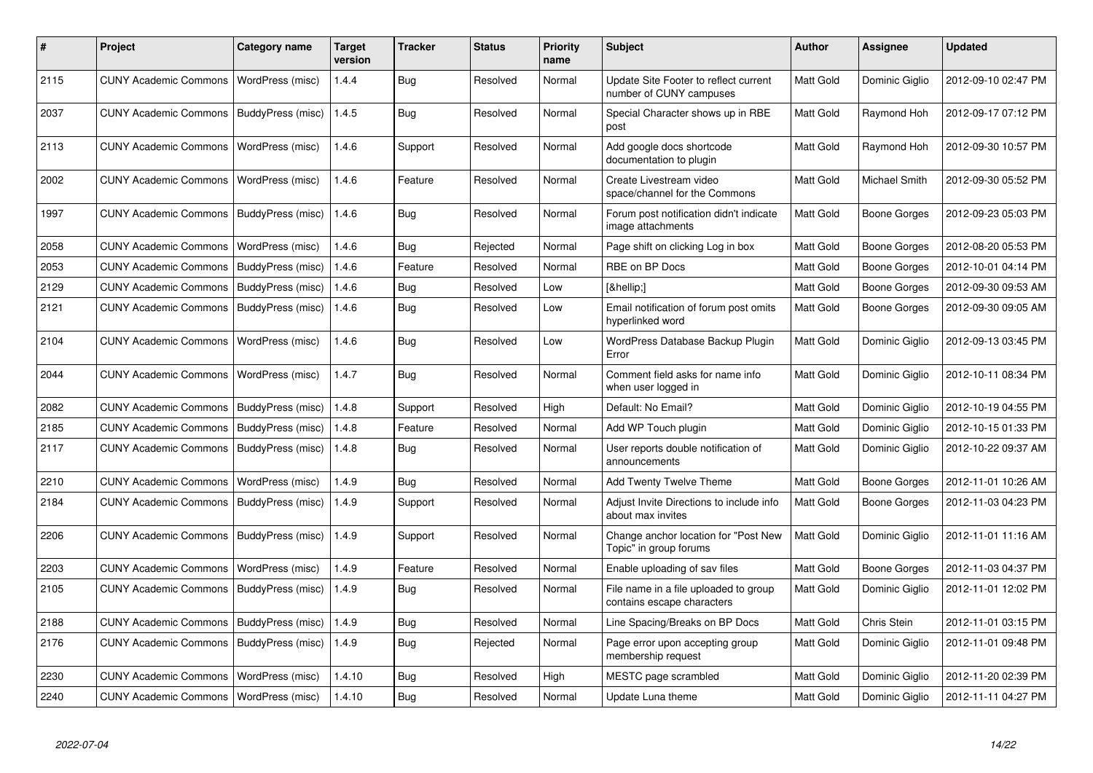| #    | <b>Project</b>                           | Category name     | <b>Target</b><br>version | Tracker    | <b>Status</b> | <b>Priority</b><br>name | Subject                                                             | <b>Author</b>    | Assignee            | <b>Updated</b>      |
|------|------------------------------------------|-------------------|--------------------------|------------|---------------|-------------------------|---------------------------------------------------------------------|------------------|---------------------|---------------------|
| 2115 | <b>CUNY Academic Commons</b>             | WordPress (misc)  | 1.4.4                    | Bug        | Resolved      | Normal                  | Update Site Footer to reflect current<br>number of CUNY campuses    | Matt Gold        | Dominic Giglio      | 2012-09-10 02:47 PM |
| 2037 | <b>CUNY Academic Commons</b>             | BuddyPress (misc) | 1.4.5                    | Bug        | Resolved      | Normal                  | Special Character shows up in RBE<br>post                           | Matt Gold        | Raymond Hoh         | 2012-09-17 07:12 PM |
| 2113 | <b>CUNY Academic Commons</b>             | WordPress (misc)  | 1.4.6                    | Support    | Resolved      | Normal                  | Add google docs shortcode<br>documentation to plugin                | Matt Gold        | Raymond Hoh         | 2012-09-30 10:57 PM |
| 2002 | <b>CUNY Academic Commons</b>             | WordPress (misc)  | 1.4.6                    | Feature    | Resolved      | Normal                  | Create Livestream video<br>space/channel for the Commons            | Matt Gold        | Michael Smith       | 2012-09-30 05:52 PM |
| 1997 | <b>CUNY Academic Commons</b>             | BuddyPress (misc) | 1.4.6                    | Bug        | Resolved      | Normal                  | Forum post notification didn't indicate<br>image attachments        | Matt Gold        | Boone Gorges        | 2012-09-23 05:03 PM |
| 2058 | <b>CUNY Academic Commons</b>             | WordPress (misc)  | 1.4.6                    | Bug        | Rejected      | Normal                  | Page shift on clicking Log in box                                   | Matt Gold        | <b>Boone Gorges</b> | 2012-08-20 05:53 PM |
| 2053 | <b>CUNY Academic Commons</b>             | BuddyPress (misc) | 1.4.6                    | Feature    | Resolved      | Normal                  | RBE on BP Docs                                                      | Matt Gold        | Boone Gorges        | 2012-10-01 04:14 PM |
| 2129 | <b>CUNY Academic Commons</b>             | BuddyPress (misc) | 1.4.6                    | Bug        | Resolved      | Low                     | […]                                                                 | Matt Gold        | Boone Gorges        | 2012-09-30 09:53 AM |
| 2121 | <b>CUNY Academic Commons</b>             | BuddyPress (misc) | 1.4.6                    | <b>Bug</b> | Resolved      | Low                     | Email notification of forum post omits<br>hyperlinked word          | Matt Gold        | Boone Gorges        | 2012-09-30 09:05 AM |
| 2104 | <b>CUNY Academic Commons</b>             | WordPress (misc)  | 1.4.6                    | Bug        | Resolved      | Low                     | WordPress Database Backup Plugin<br>Error                           | Matt Gold        | Dominic Giglio      | 2012-09-13 03:45 PM |
| 2044 | <b>CUNY Academic Commons</b>             | WordPress (misc)  | 1.4.7                    | <b>Bug</b> | Resolved      | Normal                  | Comment field asks for name info<br>when user logged in             | <b>Matt Gold</b> | Dominic Giglio      | 2012-10-11 08:34 PM |
| 2082 | <b>CUNY Academic Commons</b>             | BuddyPress (misc) | 1.4.8                    | Support    | Resolved      | High                    | Default: No Email?                                                  | Matt Gold        | Dominic Giglio      | 2012-10-19 04:55 PM |
| 2185 | <b>CUNY Academic Commons</b>             | BuddyPress (misc) | 1.4.8                    | Feature    | Resolved      | Normal                  | Add WP Touch plugin                                                 | Matt Gold        | Dominic Giglio      | 2012-10-15 01:33 PM |
| 2117 | <b>CUNY Academic Commons</b>             | BuddyPress (misc) | 1.4.8                    | Bug        | Resolved      | Normal                  | User reports double notification of<br>announcements                | Matt Gold        | Dominic Giglio      | 2012-10-22 09:37 AM |
| 2210 | <b>CUNY Academic Commons</b>             | WordPress (misc)  | 1.4.9                    | Bug        | Resolved      | Normal                  | <b>Add Twenty Twelve Theme</b>                                      | <b>Matt Gold</b> | Boone Gorges        | 2012-11-01 10:26 AM |
| 2184 | <b>CUNY Academic Commons</b>             | BuddyPress (misc) | 1.4.9                    | Support    | Resolved      | Normal                  | Adjust Invite Directions to include info<br>about max invites       | Matt Gold        | Boone Gorges        | 2012-11-03 04:23 PM |
| 2206 | <b>CUNY Academic Commons</b>             | BuddyPress (misc) | 1.4.9                    | Support    | Resolved      | Normal                  | Change anchor location for "Post New<br>Topic" in group forums      | Matt Gold        | Dominic Giglio      | 2012-11-01 11:16 AM |
| 2203 | <b>CUNY Academic Commons</b>             | WordPress (misc)  | 1.4.9                    | Feature    | Resolved      | Normal                  | Enable uploading of sav files                                       | Matt Gold        | Boone Gorges        | 2012-11-03 04:37 PM |
| 2105 | <b>CUNY Academic Commons</b>             | BuddyPress (misc) | 1.4.9                    | Bug        | Resolved      | Normal                  | File name in a file uploaded to group<br>contains escape characters | Matt Gold        | Dominic Giglio      | 2012-11-01 12:02 PM |
| 2188 | <b>CUNY Academic Commons</b>             | BuddyPress (misc) | 1.4.9                    | Bug        | Resolved      | Normal                  | Line Spacing/Breaks on BP Docs                                      | Matt Gold        | Chris Stein         | 2012-11-01 03:15 PM |
| 2176 | <b>CUNY Academic Commons</b>             | BuddyPress (misc) | 1.4.9                    | <b>Bug</b> | Rejected      | Normal                  | Page error upon accepting group<br>membership request               | <b>Matt Gold</b> | Dominic Giglio      | 2012-11-01 09:48 PM |
| 2230 | <b>CUNY Academic Commons</b>             | WordPress (misc)  | 1.4.10                   | <b>Bug</b> | Resolved      | High                    | MESTC page scrambled                                                | Matt Gold        | Dominic Giglio      | 2012-11-20 02:39 PM |
| 2240 | CUNY Academic Commons   WordPress (misc) |                   | 1.4.10                   | Bug        | Resolved      | Normal                  | Update Luna theme                                                   | Matt Gold        | Dominic Giglio      | 2012-11-11 04:27 PM |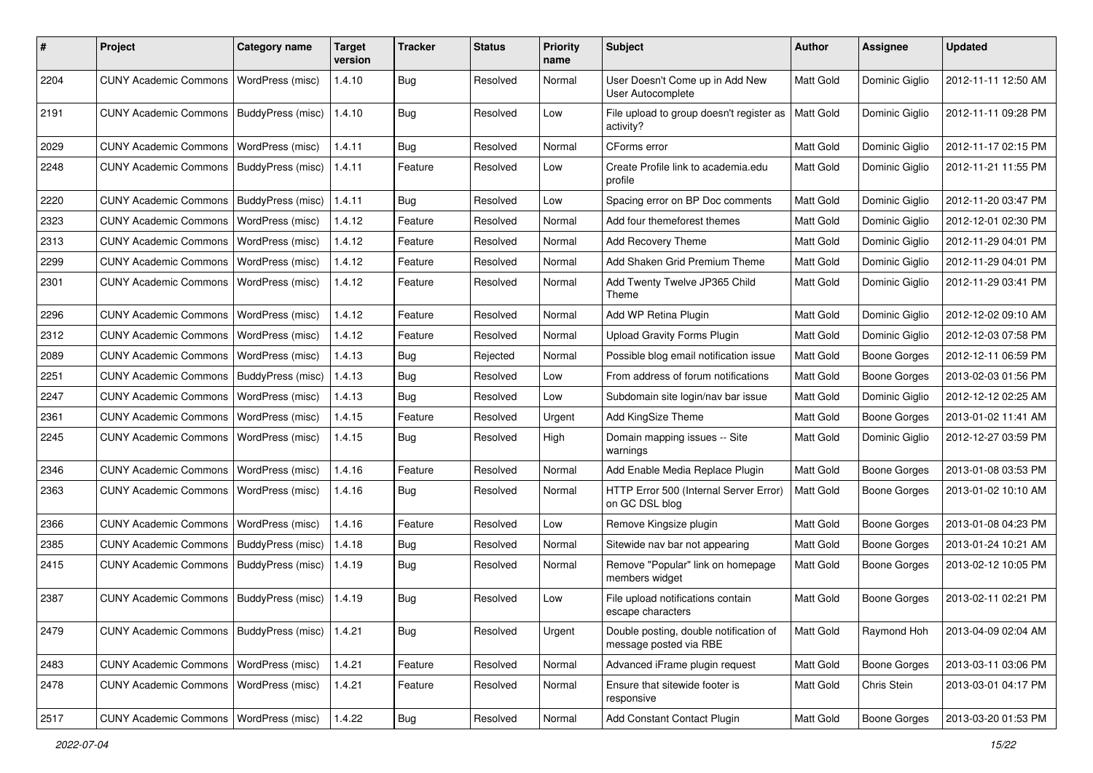| $\pmb{\#}$ | Project                                  | <b>Category name</b>    | <b>Target</b><br>version | <b>Tracker</b> | <b>Status</b> | <b>Priority</b><br>name | Subject                                                          | <b>Author</b> | Assignee            | <b>Updated</b>      |
|------------|------------------------------------------|-------------------------|--------------------------|----------------|---------------|-------------------------|------------------------------------------------------------------|---------------|---------------------|---------------------|
| 2204       | <b>CUNY Academic Commons</b>             | WordPress (misc)        | 1.4.10                   | <b>Bug</b>     | Resolved      | Normal                  | User Doesn't Come up in Add New<br>User Autocomplete             | Matt Gold     | Dominic Giglio      | 2012-11-11 12:50 AM |
| 2191       | <b>CUNY Academic Commons</b>             | BuddyPress (misc)       | 1.4.10                   | Bug            | Resolved      | Low                     | File upload to group doesn't register as<br>activity?            | Matt Gold     | Dominic Giglio      | 2012-11-11 09:28 PM |
| 2029       | <b>CUNY Academic Commons</b>             | WordPress (misc)        | 1.4.11                   | Bug            | Resolved      | Normal                  | CForms error                                                     | Matt Gold     | Dominic Giglio      | 2012-11-17 02:15 PM |
| 2248       | <b>CUNY Academic Commons</b>             | BuddyPress (misc)       | 1.4.11                   | Feature        | Resolved      | Low                     | Create Profile link to academia.edu<br>profile                   | Matt Gold     | Dominic Giglio      | 2012-11-21 11:55 PM |
| 2220       | <b>CUNY Academic Commons</b>             | BuddyPress (misc)       | 1.4.11                   | Bug            | Resolved      | Low                     | Spacing error on BP Doc comments                                 | Matt Gold     | Dominic Giglio      | 2012-11-20 03:47 PM |
| 2323       | <b>CUNY Academic Commons</b>             | WordPress (misc)        | 1.4.12                   | Feature        | Resolved      | Normal                  | Add four themeforest themes                                      | Matt Gold     | Dominic Giglio      | 2012-12-01 02:30 PM |
| 2313       | <b>CUNY Academic Commons</b>             | WordPress (misc)        | 1.4.12                   | Feature        | Resolved      | Normal                  | Add Recovery Theme                                               | Matt Gold     | Dominic Giglio      | 2012-11-29 04:01 PM |
| 2299       | <b>CUNY Academic Commons</b>             | <b>WordPress (misc)</b> | 1.4.12                   | Feature        | Resolved      | Normal                  | Add Shaken Grid Premium Theme                                    | Matt Gold     | Dominic Giglio      | 2012-11-29 04:01 PM |
| 2301       | <b>CUNY Academic Commons</b>             | WordPress (misc)        | 1.4.12                   | Feature        | Resolved      | Normal                  | Add Twenty Twelve JP365 Child<br>Theme                           | Matt Gold     | Dominic Giglio      | 2012-11-29 03:41 PM |
| 2296       | <b>CUNY Academic Commons</b>             | <b>WordPress (misc)</b> | 1.4.12                   | Feature        | Resolved      | Normal                  | Add WP Retina Plugin                                             | Matt Gold     | Dominic Giglio      | 2012-12-02 09:10 AM |
| 2312       | <b>CUNY Academic Commons</b>             | WordPress (misc)        | 1.4.12                   | Feature        | Resolved      | Normal                  | <b>Upload Gravity Forms Plugin</b>                               | Matt Gold     | Dominic Giglio      | 2012-12-03 07:58 PM |
| 2089       | <b>CUNY Academic Commons</b>             | WordPress (misc)        | 1.4.13                   | <b>Bug</b>     | Rejected      | Normal                  | Possible blog email notification issue                           | Matt Gold     | <b>Boone Gorges</b> | 2012-12-11 06:59 PM |
| 2251       | <b>CUNY Academic Commons</b>             | BuddyPress (misc)       | 1.4.13                   | Bug            | Resolved      | Low                     | From address of forum notifications                              | Matt Gold     | <b>Boone Gorges</b> | 2013-02-03 01:56 PM |
| 2247       | <b>CUNY Academic Commons</b>             | WordPress (misc)        | 1.4.13                   | Bug            | Resolved      | Low                     | Subdomain site login/nav bar issue                               | Matt Gold     | Dominic Giglio      | 2012-12-12 02:25 AM |
| 2361       | <b>CUNY Academic Commons</b>             | WordPress (misc)        | 1.4.15                   | Feature        | Resolved      | Urgent                  | Add KingSize Theme                                               | Matt Gold     | <b>Boone Gorges</b> | 2013-01-02 11:41 AM |
| 2245       | <b>CUNY Academic Commons</b>             | WordPress (misc)        | 1.4.15                   | Bug            | Resolved      | High                    | Domain mapping issues -- Site<br>warnings                        | Matt Gold     | Dominic Giglio      | 2012-12-27 03:59 PM |
| 2346       | <b>CUNY Academic Commons</b>             | WordPress (misc)        | 1.4.16                   | Feature        | Resolved      | Normal                  | Add Enable Media Replace Plugin                                  | Matt Gold     | <b>Boone Gorges</b> | 2013-01-08 03:53 PM |
| 2363       | <b>CUNY Academic Commons</b>             | WordPress (misc)        | 1.4.16                   | Bug            | Resolved      | Normal                  | HTTP Error 500 (Internal Server Error)<br>on GC DSL blog         | Matt Gold     | <b>Boone Gorges</b> | 2013-01-02 10:10 AM |
| 2366       | <b>CUNY Academic Commons</b>             | WordPress (misc)        | 1.4.16                   | Feature        | Resolved      | Low                     | Remove Kingsize plugin                                           | Matt Gold     | <b>Boone Gorges</b> | 2013-01-08 04:23 PM |
| 2385       | <b>CUNY Academic Commons</b>             | BuddyPress (misc)       | 1.4.18                   | Bug            | Resolved      | Normal                  | Sitewide nav bar not appearing                                   | Matt Gold     | <b>Boone Gorges</b> | 2013-01-24 10:21 AM |
| 2415       | <b>CUNY Academic Commons</b>             | BuddyPress (misc)       | 1.4.19                   | Bug            | Resolved      | Normal                  | Remove "Popular" link on homepage<br>members widget              | Matt Gold     | <b>Boone Gorges</b> | 2013-02-12 10:05 PM |
| 2387       | <b>CUNY Academic Commons</b>             | BuddyPress (misc)       | 1.4.19                   | Bug            | Resolved      | Low                     | File upload notifications contain<br>escape characters           | Matt Gold     | <b>Boone Gorges</b> | 2013-02-11 02:21 PM |
| 2479       | <b>CUNY Academic Commons</b>             | BuddyPress (misc)       | 1.4.21                   | <b>Bug</b>     | Resolved      | Urgent                  | Double posting, double notification of<br>message posted via RBE | Matt Gold     | Raymond Hoh         | 2013-04-09 02:04 AM |
| 2483       | CUNY Academic Commons   WordPress (misc) |                         | 1.4.21                   | Feature        | Resolved      | Normal                  | Advanced iFrame plugin request                                   | Matt Gold     | <b>Boone Gorges</b> | 2013-03-11 03:06 PM |
| 2478       | <b>CUNY Academic Commons</b>             | WordPress (misc)        | 1.4.21                   | Feature        | Resolved      | Normal                  | Ensure that sitewide footer is<br>responsive                     | Matt Gold     | Chris Stein         | 2013-03-01 04:17 PM |
| 2517       | <b>CUNY Academic Commons</b>             | WordPress (misc)        | 1.4.22                   | <b>Bug</b>     | Resolved      | Normal                  | Add Constant Contact Plugin                                      | Matt Gold     | Boone Gorges        | 2013-03-20 01:53 PM |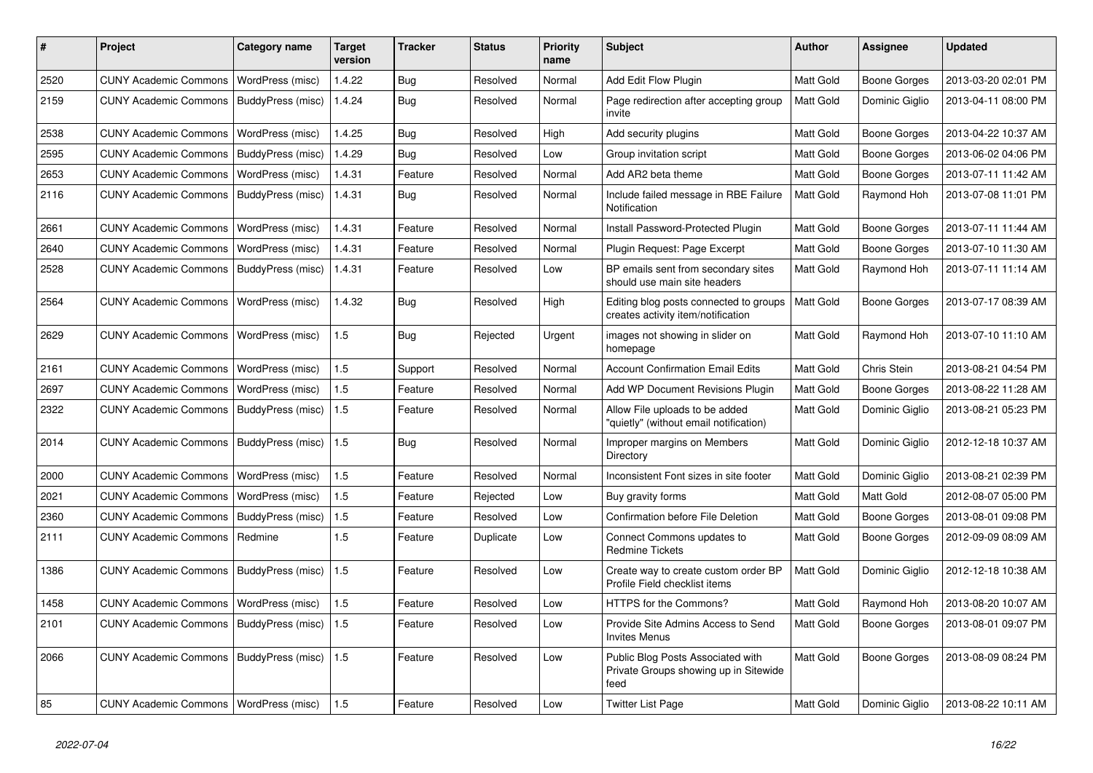| #    | Project                                  | <b>Category name</b> | Target<br>version | <b>Tracker</b> | <b>Status</b> | <b>Priority</b><br>name | <b>Subject</b>                                                                     | <b>Author</b>    | Assignee            | <b>Updated</b>      |
|------|------------------------------------------|----------------------|-------------------|----------------|---------------|-------------------------|------------------------------------------------------------------------------------|------------------|---------------------|---------------------|
| 2520 | <b>CUNY Academic Commons</b>             | WordPress (misc)     | 1.4.22            | <b>Bug</b>     | Resolved      | Normal                  | Add Edit Flow Plugin                                                               | Matt Gold        | Boone Gorges        | 2013-03-20 02:01 PM |
| 2159 | <b>CUNY Academic Commons</b>             | BuddyPress (misc)    | 1.4.24            | Bug            | Resolved      | Normal                  | Page redirection after accepting group<br>invite                                   | Matt Gold        | Dominic Giglio      | 2013-04-11 08:00 PM |
| 2538 | <b>CUNY Academic Commons</b>             | WordPress (misc)     | 1.4.25            | Bug            | Resolved      | High                    | Add security plugins                                                               | Matt Gold        | Boone Gorges        | 2013-04-22 10:37 AM |
| 2595 | <b>CUNY Academic Commons</b>             | BuddyPress (misc)    | 1.4.29            | <b>Bug</b>     | Resolved      | Low                     | Group invitation script                                                            | Matt Gold        | Boone Gorges        | 2013-06-02 04:06 PM |
| 2653 | <b>CUNY Academic Commons</b>             | WordPress (misc)     | 1.4.31            | Feature        | Resolved      | Normal                  | Add AR2 beta theme                                                                 | Matt Gold        | <b>Boone Gorges</b> | 2013-07-11 11:42 AM |
| 2116 | <b>CUNY Academic Commons</b>             | BuddyPress (misc)    | 1.4.31            | Bug            | Resolved      | Normal                  | Include failed message in RBE Failure<br>Notification                              | Matt Gold        | Raymond Hoh         | 2013-07-08 11:01 PM |
| 2661 | <b>CUNY Academic Commons</b>             | WordPress (misc)     | 1.4.31            | Feature        | Resolved      | Normal                  | Install Password-Protected Plugin                                                  | Matt Gold        | Boone Gorges        | 2013-07-11 11:44 AM |
| 2640 | <b>CUNY Academic Commons</b>             | WordPress (misc)     | 1.4.31            | Feature        | Resolved      | Normal                  | Plugin Request: Page Excerpt                                                       | Matt Gold        | <b>Boone Gorges</b> | 2013-07-10 11:30 AM |
| 2528 | <b>CUNY Academic Commons</b>             | BuddyPress (misc)    | 1.4.31            | Feature        | Resolved      | Low                     | BP emails sent from secondary sites<br>should use main site headers                | Matt Gold        | Raymond Hoh         | 2013-07-11 11:14 AM |
| 2564 | <b>CUNY Academic Commons</b>             | WordPress (misc)     | 1.4.32            | <b>Bug</b>     | Resolved      | High                    | Editing blog posts connected to groups<br>creates activity item/notification       | Matt Gold        | Boone Gorges        | 2013-07-17 08:39 AM |
| 2629 | <b>CUNY Academic Commons</b>             | WordPress (misc)     | 1.5               | <b>Bug</b>     | Rejected      | Urgent                  | images not showing in slider on<br>homepage                                        | Matt Gold        | Raymond Hoh         | 2013-07-10 11:10 AM |
| 2161 | <b>CUNY Academic Commons</b>             | WordPress (misc)     | 1.5               | Support        | Resolved      | Normal                  | <b>Account Confirmation Email Edits</b>                                            | Matt Gold        | Chris Stein         | 2013-08-21 04:54 PM |
| 2697 | <b>CUNY Academic Commons</b>             | WordPress (misc)     | 1.5               | Feature        | Resolved      | Normal                  | Add WP Document Revisions Plugin                                                   | Matt Gold        | Boone Gorges        | 2013-08-22 11:28 AM |
| 2322 | <b>CUNY Academic Commons</b>             | BuddyPress (misc)    | 1.5               | Feature        | Resolved      | Normal                  | Allow File uploads to be added<br>"quietly" (without email notification)           | Matt Gold        | Dominic Giglio      | 2013-08-21 05:23 PM |
| 2014 | <b>CUNY Academic Commons</b>             | BuddyPress (misc)    | 1.5               | <b>Bug</b>     | Resolved      | Normal                  | Improper margins on Members<br>Directory                                           | Matt Gold        | Dominic Giglio      | 2012-12-18 10:37 AM |
| 2000 | <b>CUNY Academic Commons</b>             | WordPress (misc)     | 1.5               | Feature        | Resolved      | Normal                  | Inconsistent Font sizes in site footer                                             | Matt Gold        | Dominic Giglio      | 2013-08-21 02:39 PM |
| 2021 | <b>CUNY Academic Commons</b>             | WordPress (misc)     | 1.5               | Feature        | Rejected      | Low                     | Buy gravity forms                                                                  | Matt Gold        | Matt Gold           | 2012-08-07 05:00 PM |
| 2360 | <b>CUNY Academic Commons</b>             | BuddyPress (misc)    | 1.5               | Feature        | Resolved      | Low                     | <b>Confirmation before File Deletion</b>                                           | Matt Gold        | Boone Gorges        | 2013-08-01 09:08 PM |
| 2111 | <b>CUNY Academic Commons</b>             | Redmine              | 1.5               | Feature        | Duplicate     | Low                     | Connect Commons updates to<br><b>Redmine Tickets</b>                               | Matt Gold        | <b>Boone Gorges</b> | 2012-09-09 08:09 AM |
| 1386 | <b>CUNY Academic Commons</b>             | BuddyPress (misc)    | 1.5               | Feature        | Resolved      | Low                     | Create way to create custom order BP<br>Profile Field checklist items              | Matt Gold        | Dominic Giglio      | 2012-12-18 10:38 AM |
| 1458 | <b>CUNY Academic Commons</b>             | WordPress (misc)     | 1.5               | Feature        | Resolved      | Low                     | <b>HTTPS for the Commons?</b>                                                      | Matt Gold        | Raymond Hoh         | 2013-08-20 10:07 AM |
| 2101 | <b>CUNY Academic Commons</b>             | BuddyPress (misc)    | 1.5               | Feature        | Resolved      | Low                     | Provide Site Admins Access to Send<br><b>Invites Menus</b>                         | Matt Gold        | Boone Gorges        | 2013-08-01 09:07 PM |
| 2066 | <b>CUNY Academic Commons</b>             | BuddyPress (misc)    | 1.5               | Feature        | Resolved      | Low                     | Public Blog Posts Associated with<br>Private Groups showing up in Sitewide<br>feed | Matt Gold        | Boone Gorges        | 2013-08-09 08:24 PM |
| 85   | CUNY Academic Commons   WordPress (misc) |                      | 1.5               | Feature        | Resolved      | Low                     | Twitter List Page                                                                  | <b>Matt Gold</b> | Dominic Giglio      | 2013-08-22 10:11 AM |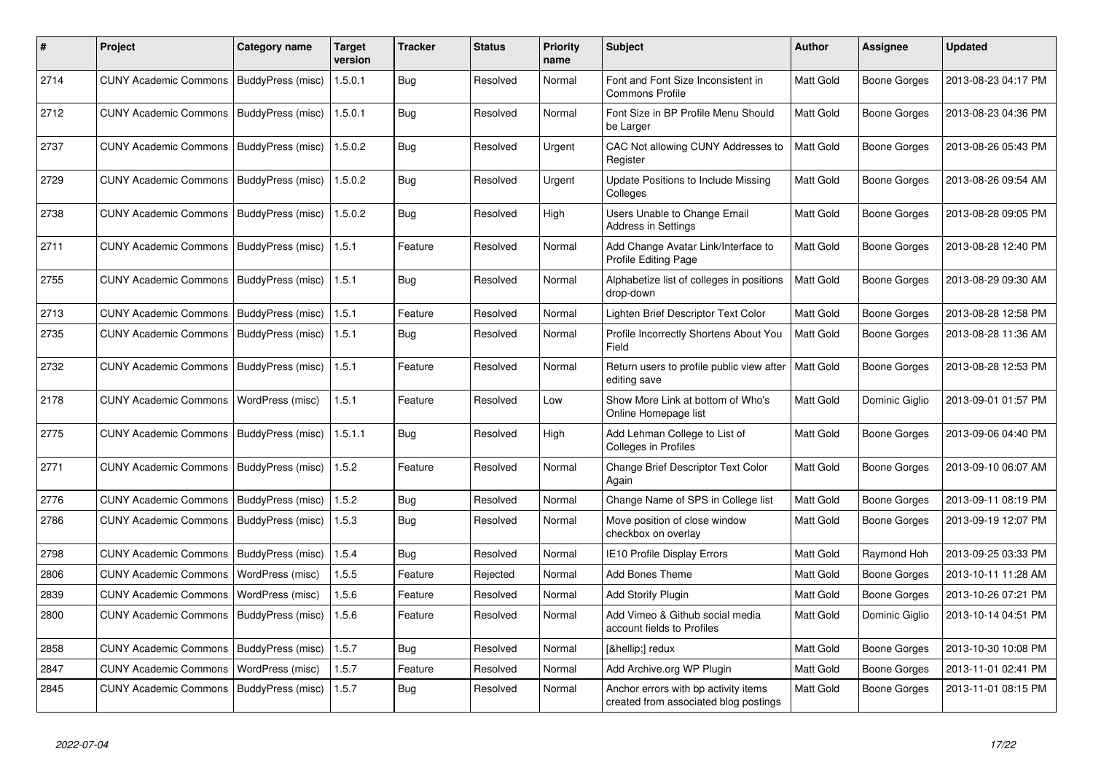| #    | Project                                   | Category name            | <b>Target</b><br>version | Tracker    | <b>Status</b> | <b>Priority</b><br>name | <b>Subject</b>                                                                | <b>Author</b> | Assignee            | <b>Updated</b>      |
|------|-------------------------------------------|--------------------------|--------------------------|------------|---------------|-------------------------|-------------------------------------------------------------------------------|---------------|---------------------|---------------------|
| 2714 | <b>CUNY Academic Commons</b>              | BuddyPress (misc)        | 1.5.0.1                  | Bug        | Resolved      | Normal                  | Font and Font Size Inconsistent in<br><b>Commons Profile</b>                  | Matt Gold     | <b>Boone Gorges</b> | 2013-08-23 04:17 PM |
| 2712 | <b>CUNY Academic Commons</b>              | BuddyPress (misc)        | 1.5.0.1                  | Bug        | Resolved      | Normal                  | Font Size in BP Profile Menu Should<br>be Larger                              | Matt Gold     | <b>Boone Gorges</b> | 2013-08-23 04:36 PM |
| 2737 | <b>CUNY Academic Commons</b>              | BuddyPress (misc)        | 1.5.0.2                  | Bug        | Resolved      | Urgent                  | CAC Not allowing CUNY Addresses to<br>Register                                | Matt Gold     | Boone Gorges        | 2013-08-26 05:43 PM |
| 2729 | <b>CUNY Academic Commons</b>              | BuddyPress (misc)        | 1.5.0.2                  | <b>Bug</b> | Resolved      | Urgent                  | Update Positions to Include Missing<br>Colleges                               | Matt Gold     | <b>Boone Gorges</b> | 2013-08-26 09:54 AM |
| 2738 | CUNY Academic Commons   BuddyPress (misc) |                          | 1.5.0.2                  | Bug        | Resolved      | High                    | Users Unable to Change Email<br><b>Address in Settings</b>                    | Matt Gold     | <b>Boone Gorges</b> | 2013-08-28 09:05 PM |
| 2711 | <b>CUNY Academic Commons</b>              | BuddyPress (misc)        | 1.5.1                    | Feature    | Resolved      | Normal                  | Add Change Avatar Link/Interface to<br>Profile Editing Page                   | Matt Gold     | Boone Gorges        | 2013-08-28 12:40 PM |
| 2755 | <b>CUNY Academic Commons</b>              | <b>BuddyPress (misc)</b> | 1.5.1                    | Bug        | Resolved      | Normal                  | Alphabetize list of colleges in positions<br>drop-down                        | Matt Gold     | <b>Boone Gorges</b> | 2013-08-29 09:30 AM |
| 2713 | <b>CUNY Academic Commons</b>              | BuddyPress (misc)        | 1.5.1                    | Feature    | Resolved      | Normal                  | Lighten Brief Descriptor Text Color                                           | Matt Gold     | <b>Boone Gorges</b> | 2013-08-28 12:58 PM |
| 2735 | <b>CUNY Academic Commons</b>              | BuddyPress (misc)        | 1.5.1                    | Bug        | Resolved      | Normal                  | Profile Incorrectly Shortens About You<br>Field                               | Matt Gold     | <b>Boone Gorges</b> | 2013-08-28 11:36 AM |
| 2732 | <b>CUNY Academic Commons</b>              | BuddyPress (misc)        | 1.5.1                    | Feature    | Resolved      | Normal                  | Return users to profile public view after<br>editing save                     | Matt Gold     | <b>Boone Gorges</b> | 2013-08-28 12:53 PM |
| 2178 | <b>CUNY Academic Commons</b>              | WordPress (misc)         | 1.5.1                    | Feature    | Resolved      | Low                     | Show More Link at bottom of Who's<br>Online Homepage list                     | Matt Gold     | Dominic Giglio      | 2013-09-01 01:57 PM |
| 2775 | <b>CUNY Academic Commons</b>              | BuddyPress (misc)        | 1.5.1.1                  | <b>Bug</b> | Resolved      | High                    | Add Lehman College to List of<br>Colleges in Profiles                         | Matt Gold     | <b>Boone Gorges</b> | 2013-09-06 04:40 PM |
| 2771 | <b>CUNY Academic Commons</b>              | BuddyPress (misc)        | 1.5.2                    | Feature    | Resolved      | Normal                  | <b>Change Brief Descriptor Text Color</b><br>Again                            | Matt Gold     | Boone Gorges        | 2013-09-10 06:07 AM |
| 2776 | <b>CUNY Academic Commons</b>              | BuddyPress (misc)        | 1.5.2                    | <b>Bug</b> | Resolved      | Normal                  | Change Name of SPS in College list                                            | Matt Gold     | Boone Gorges        | 2013-09-11 08:19 PM |
| 2786 | <b>CUNY Academic Commons</b>              | BuddyPress (misc)        | 1.5.3                    | Bug        | Resolved      | Normal                  | Move position of close window<br>checkbox on overlay                          | Matt Gold     | Boone Gorges        | 2013-09-19 12:07 PM |
| 2798 | <b>CUNY Academic Commons</b>              | BuddyPress (misc)        | 1.5.4                    | Bug        | Resolved      | Normal                  | <b>IE10 Profile Display Errors</b>                                            | Matt Gold     | Raymond Hoh         | 2013-09-25 03:33 PM |
| 2806 | <b>CUNY Academic Commons</b>              | WordPress (misc)         | 1.5.5                    | Feature    | Rejected      | Normal                  | <b>Add Bones Theme</b>                                                        | Matt Gold     | <b>Boone Gorges</b> | 2013-10-11 11:28 AM |
| 2839 | <b>CUNY Academic Commons</b>              | WordPress (misc)         | 1.5.6                    | Feature    | Resolved      | Normal                  | <b>Add Storify Plugin</b>                                                     | Matt Gold     | <b>Boone Gorges</b> | 2013-10-26 07:21 PM |
| 2800 | <b>CUNY Academic Commons</b>              | BuddyPress (misc)        | 1.5.6                    | Feature    | Resolved      | Normal                  | Add Vimeo & Github social media<br>account fields to Profiles                 | Matt Gold     | Dominic Giglio      | 2013-10-14 04:51 PM |
| 2858 | <b>CUNY Academic Commons</b>              | BuddyPress (misc)        | 1.5.7                    | Bug        | Resolved      | Normal                  | […] redux                                                                     | Matt Gold     | Boone Gorges        | 2013-10-30 10:08 PM |
| 2847 | <b>CUNY Academic Commons</b>              | WordPress (misc)         | 1.5.7                    | Feature    | Resolved      | Normal                  | Add Archive.org WP Plugin                                                     | Matt Gold     | <b>Boone Gorges</b> | 2013-11-01 02:41 PM |
| 2845 | <b>CUNY Academic Commons</b>              | BuddyPress (misc)        | 1.5.7                    | Bug        | Resolved      | Normal                  | Anchor errors with bp activity items<br>created from associated blog postings | Matt Gold     | <b>Boone Gorges</b> | 2013-11-01 08:15 PM |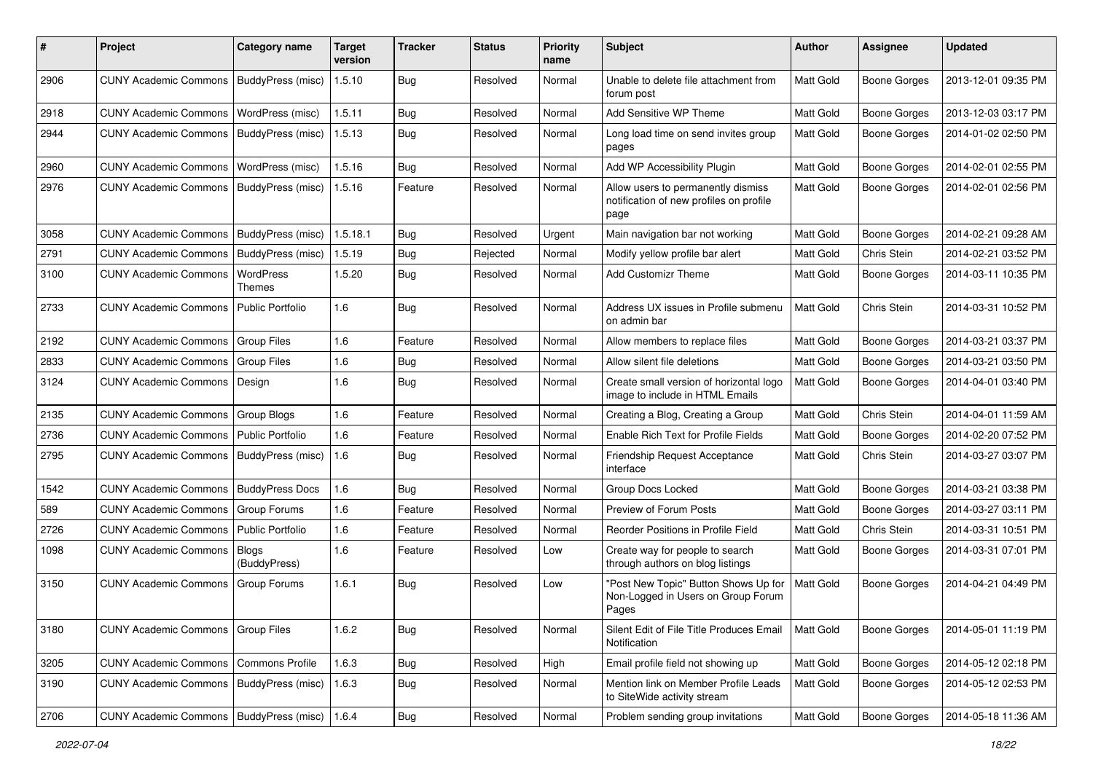| #    | Project                                   | Category name           | <b>Target</b><br>version | <b>Tracker</b> | <b>Status</b> | <b>Priority</b><br>name | Subject                                                                               | <b>Author</b>    | <b>Assignee</b>     | <b>Updated</b>      |
|------|-------------------------------------------|-------------------------|--------------------------|----------------|---------------|-------------------------|---------------------------------------------------------------------------------------|------------------|---------------------|---------------------|
| 2906 | <b>CUNY Academic Commons</b>              | BuddyPress (misc)       | 1.5.10                   | <b>Bug</b>     | Resolved      | Normal                  | Unable to delete file attachment from<br>forum post                                   | Matt Gold        | <b>Boone Gorges</b> | 2013-12-01 09:35 PM |
| 2918 | <b>CUNY Academic Commons</b>              | WordPress (misc)        | 1.5.11                   | Bug            | Resolved      | Normal                  | Add Sensitive WP Theme                                                                | Matt Gold        | <b>Boone Gorges</b> | 2013-12-03 03:17 PM |
| 2944 | <b>CUNY Academic Commons</b>              | BuddyPress (misc)       | 1.5.13                   | <b>Bug</b>     | Resolved      | Normal                  | Long load time on send invites group<br>pages                                         | Matt Gold        | <b>Boone Gorges</b> | 2014-01-02 02:50 PM |
| 2960 | <b>CUNY Academic Commons</b>              | WordPress (misc)        | 1.5.16                   | Bug            | Resolved      | Normal                  | Add WP Accessibility Plugin                                                           | Matt Gold        | <b>Boone Gorges</b> | 2014-02-01 02:55 PM |
| 2976 | <b>CUNY Academic Commons</b>              | BuddyPress (misc)       | 1.5.16                   | Feature        | Resolved      | Normal                  | Allow users to permanently dismiss<br>notification of new profiles on profile<br>page | Matt Gold        | <b>Boone Gorges</b> | 2014-02-01 02:56 PM |
| 3058 | <b>CUNY Academic Commons</b>              | BuddyPress (misc)       | 1.5.18.1                 | Bug            | Resolved      | Urgent                  | Main navigation bar not working                                                       | Matt Gold        | <b>Boone Gorges</b> | 2014-02-21 09:28 AM |
| 2791 | <b>CUNY Academic Commons</b>              | BuddyPress (misc)       | 1.5.19                   | Bug            | Rejected      | Normal                  | Modify yellow profile bar alert                                                       | Matt Gold        | Chris Stein         | 2014-02-21 03:52 PM |
| 3100 | <b>CUNY Academic Commons</b>              | WordPress<br>Themes     | 1.5.20                   | <b>Bug</b>     | Resolved      | Normal                  | <b>Add Customizr Theme</b>                                                            | <b>Matt Gold</b> | <b>Boone Gorges</b> | 2014-03-11 10:35 PM |
| 2733 | <b>CUNY Academic Commons</b>              | Public Portfolio        | 1.6                      | Bug            | Resolved      | Normal                  | Address UX issues in Profile submenu<br>on admin bar                                  | Matt Gold        | Chris Stein         | 2014-03-31 10:52 PM |
| 2192 | <b>CUNY Academic Commons</b>              | <b>Group Files</b>      | 1.6                      | Feature        | Resolved      | Normal                  | Allow members to replace files                                                        | Matt Gold        | <b>Boone Gorges</b> | 2014-03-21 03:37 PM |
| 2833 | <b>CUNY Academic Commons</b>              | <b>Group Files</b>      | 1.6                      | Bug            | Resolved      | Normal                  | Allow silent file deletions                                                           | Matt Gold        | <b>Boone Gorges</b> | 2014-03-21 03:50 PM |
| 3124 | <b>CUNY Academic Commons</b>              | Design                  | 1.6                      | Bug            | Resolved      | Normal                  | Create small version of horizontal logo<br>image to include in HTML Emails            | Matt Gold        | <b>Boone Gorges</b> | 2014-04-01 03:40 PM |
| 2135 | <b>CUNY Academic Commons</b>              | <b>Group Blogs</b>      | 1.6                      | Feature        | Resolved      | Normal                  | Creating a Blog, Creating a Group                                                     | Matt Gold        | Chris Stein         | 2014-04-01 11:59 AM |
| 2736 | <b>CUNY Academic Commons</b>              | <b>Public Portfolio</b> | 1.6                      | Feature        | Resolved      | Normal                  | Enable Rich Text for Profile Fields                                                   | Matt Gold        | <b>Boone Gorges</b> | 2014-02-20 07:52 PM |
| 2795 | <b>CUNY Academic Commons</b>              | BuddyPress (misc)       | 1.6                      | Bug            | Resolved      | Normal                  | <b>Friendship Request Acceptance</b><br>interface                                     | Matt Gold        | Chris Stein         | 2014-03-27 03:07 PM |
| 1542 | <b>CUNY Academic Commons</b>              | <b>BuddyPress Docs</b>  | 1.6                      | Bug            | Resolved      | Normal                  | Group Docs Locked                                                                     | <b>Matt Gold</b> | <b>Boone Gorges</b> | 2014-03-21 03:38 PM |
| 589  | <b>CUNY Academic Commons</b>              | <b>Group Forums</b>     | 1.6                      | Feature        | Resolved      | Normal                  | Preview of Forum Posts                                                                | Matt Gold        | <b>Boone Gorges</b> | 2014-03-27 03:11 PM |
| 2726 | <b>CUNY Academic Commons</b>              | Public Portfolio        | 1.6                      | Feature        | Resolved      | Normal                  | Reorder Positions in Profile Field                                                    | Matt Gold        | Chris Stein         | 2014-03-31 10:51 PM |
| 1098 | <b>CUNY Academic Commons</b>              | Blogs<br>(BuddyPress)   | 1.6                      | Feature        | Resolved      | Low                     | Create way for people to search<br>through authors on blog listings                   | Matt Gold        | <b>Boone Gorges</b> | 2014-03-31 07:01 PM |
| 3150 | <b>CUNY Academic Commons</b>              | Group Forums            | 1.6.1                    | Bug            | Resolved      | Low                     | "Post New Topic" Button Shows Up for<br>Non-Logged in Users on Group Forum<br>Pages   | Matt Gold        | <b>Boone Gorges</b> | 2014-04-21 04:49 PM |
| 3180 | <b>CUNY Academic Commons</b>              | Group Files             | 1.6.2                    | Bug            | Resolved      | Normal                  | Silent Edit of File Title Produces Email<br>Notification                              | Matt Gold        | <b>Boone Gorges</b> | 2014-05-01 11:19 PM |
| 3205 | <b>CUNY Academic Commons</b>              | Commons Profile         | 1.6.3                    | Bug            | Resolved      | High                    | Email profile field not showing up                                                    | Matt Gold        | <b>Boone Gorges</b> | 2014-05-12 02:18 PM |
| 3190 | <b>CUNY Academic Commons</b>              | BuddyPress (misc)       | 1.6.3                    | Bug            | Resolved      | Normal                  | Mention link on Member Profile Leads<br>to SiteWide activity stream                   | Matt Gold        | Boone Gorges        | 2014-05-12 02:53 PM |
| 2706 | CUNY Academic Commons   BuddyPress (misc) |                         | 1.6.4                    | Bug            | Resolved      | Normal                  | Problem sending group invitations                                                     | Matt Gold        | <b>Boone Gorges</b> | 2014-05-18 11:36 AM |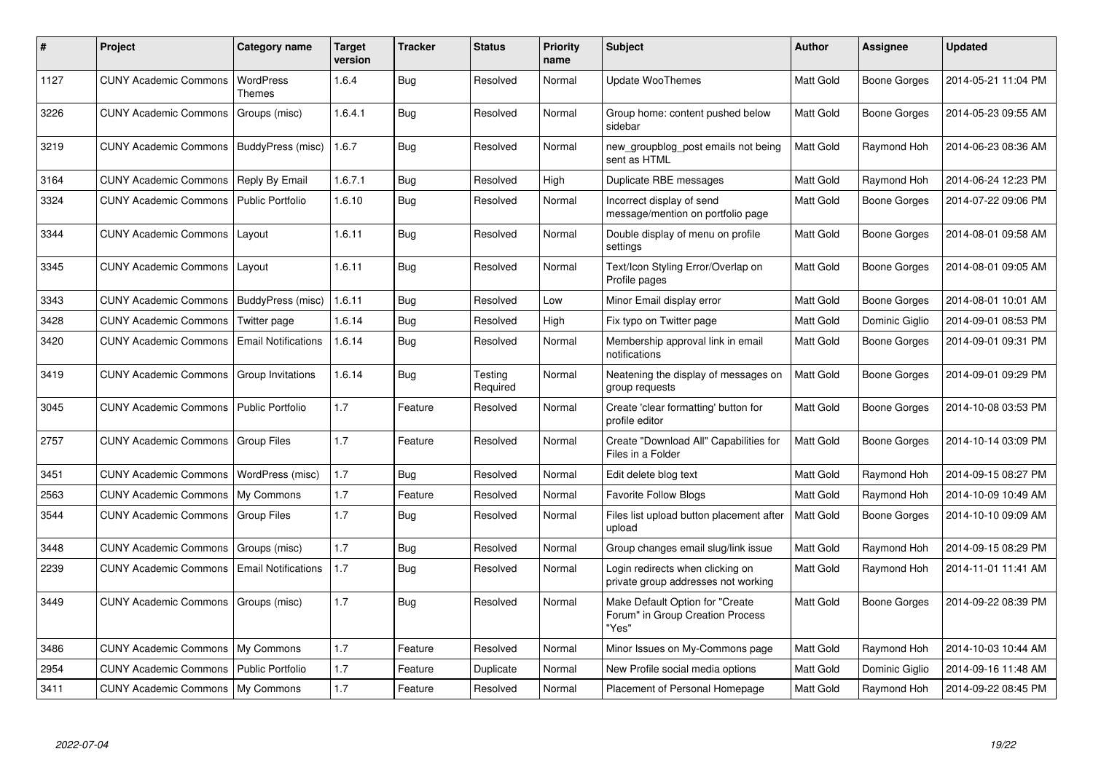| #    | Project                             | Category name              | <b>Target</b><br>version | <b>Tracker</b> | <b>Status</b>       | <b>Priority</b><br>name | <b>Subject</b>                                                               | <b>Author</b>    | Assignee       | <b>Updated</b>      |
|------|-------------------------------------|----------------------------|--------------------------|----------------|---------------------|-------------------------|------------------------------------------------------------------------------|------------------|----------------|---------------------|
| 1127 | <b>CUNY Academic Commons</b>        | WordPress<br>Themes        | 1.6.4                    | Bug            | Resolved            | Normal                  | <b>Update WooThemes</b>                                                      | <b>Matt Gold</b> | Boone Gorges   | 2014-05-21 11:04 PM |
| 3226 | <b>CUNY Academic Commons</b>        | Groups (misc)              | 1.6.4.1                  | <b>Bug</b>     | Resolved            | Normal                  | Group home: content pushed below<br>sidebar                                  | Matt Gold        | Boone Gorges   | 2014-05-23 09:55 AM |
| 3219 | <b>CUNY Academic Commons</b>        | BuddyPress (misc)          | 1.6.7                    | Bug            | Resolved            | Normal                  | new_groupblog_post emails not being<br>sent as HTML                          | Matt Gold        | Raymond Hoh    | 2014-06-23 08:36 AM |
| 3164 | <b>CUNY Academic Commons</b>        | Reply By Email             | 1.6.7.1                  | Bug            | Resolved            | High                    | Duplicate RBE messages                                                       | <b>Matt Gold</b> | Raymond Hoh    | 2014-06-24 12:23 PM |
| 3324 | <b>CUNY Academic Commons</b>        | <b>Public Portfolio</b>    | 1.6.10                   | Bug            | Resolved            | Normal                  | Incorrect display of send<br>message/mention on portfolio page               | Matt Gold        | Boone Gorges   | 2014-07-22 09:06 PM |
| 3344 | <b>CUNY Academic Commons</b>        | Layout                     | 1.6.11                   | <b>Bug</b>     | Resolved            | Normal                  | Double display of menu on profile<br>settings                                | <b>Matt Gold</b> | Boone Gorges   | 2014-08-01 09:58 AM |
| 3345 | <b>CUNY Academic Commons</b>        | Layout                     | 1.6.11                   | Bug            | Resolved            | Normal                  | Text/Icon Styling Error/Overlap on<br>Profile pages                          | Matt Gold        | Boone Gorges   | 2014-08-01 09:05 AM |
| 3343 | <b>CUNY Academic Commons</b>        | <b>BuddyPress</b> (misc)   | 1.6.11                   | <b>Bug</b>     | Resolved            | Low                     | Minor Email display error                                                    | Matt Gold        | Boone Gorges   | 2014-08-01 10:01 AM |
| 3428 | <b>CUNY Academic Commons</b>        | Twitter page               | 1.6.14                   | Bug            | Resolved            | High                    | Fix typo on Twitter page                                                     | Matt Gold        | Dominic Giglio | 2014-09-01 08:53 PM |
| 3420 | <b>CUNY Academic Commons</b>        | <b>Email Notifications</b> | 1.6.14                   | Bug            | Resolved            | Normal                  | Membership approval link in email<br>notifications                           | <b>Matt Gold</b> | Boone Gorges   | 2014-09-01 09:31 PM |
| 3419 | <b>CUNY Academic Commons</b>        | Group Invitations          | 1.6.14                   | Bug            | Testing<br>Required | Normal                  | Neatening the display of messages on<br>group requests                       | Matt Gold        | Boone Gorges   | 2014-09-01 09:29 PM |
| 3045 | <b>CUNY Academic Commons</b>        | Public Portfolio           | 1.7                      | Feature        | Resolved            | Normal                  | Create 'clear formatting' button for<br>profile editor                       | <b>Matt Gold</b> | Boone Gorges   | 2014-10-08 03:53 PM |
| 2757 | CUNY Academic Commons   Group Files |                            | 1.7                      | Feature        | Resolved            | Normal                  | Create "Download All" Capabilities for<br>Files in a Folder                  | Matt Gold        | Boone Gorges   | 2014-10-14 03:09 PM |
| 3451 | <b>CUNY Academic Commons</b>        | WordPress (misc)           | 1.7                      | Bug            | Resolved            | Normal                  | Edit delete blog text                                                        | Matt Gold        | Raymond Hoh    | 2014-09-15 08:27 PM |
| 2563 | <b>CUNY Academic Commons</b>        | My Commons                 | 1.7                      | Feature        | Resolved            | Normal                  | <b>Favorite Follow Blogs</b>                                                 | Matt Gold        | Raymond Hoh    | 2014-10-09 10:49 AM |
| 3544 | <b>CUNY Academic Commons</b>        | <b>Group Files</b>         | 1.7                      | <b>Bug</b>     | Resolved            | Normal                  | Files list upload button placement after<br>upload                           | <b>Matt Gold</b> | Boone Gorges   | 2014-10-10 09:09 AM |
| 3448 | <b>CUNY Academic Commons</b>        | Groups (misc)              | 1.7                      | Bug            | Resolved            | Normal                  | Group changes email slug/link issue                                          | <b>Matt Gold</b> | Raymond Hoh    | 2014-09-15 08:29 PM |
| 2239 | <b>CUNY Academic Commons</b>        | <b>Email Notifications</b> | 1.7                      | Bug            | Resolved            | Normal                  | Login redirects when clicking on<br>private group addresses not working      | Matt Gold        | Raymond Hoh    | 2014-11-01 11:41 AM |
| 3449 | <b>CUNY Academic Commons</b>        | Groups (misc)              | 1.7                      | Bug            | Resolved            | Normal                  | Make Default Option for "Create<br>Forum" in Group Creation Process<br>"Yes" | <b>Matt Gold</b> | Boone Gorges   | 2014-09-22 08:39 PM |
| 3486 | CUNY Academic Commons               | My Commons                 | 1.7                      | Feature        | Resolved            | Normal                  | Minor Issues on My-Commons page                                              | Matt Gold        | Raymond Hoh    | 2014-10-03 10:44 AM |
| 2954 | <b>CUNY Academic Commons</b>        | <b>Public Portfolio</b>    | 1.7                      | Feature        | Duplicate           | Normal                  | New Profile social media options                                             | Matt Gold        | Dominic Giglio | 2014-09-16 11:48 AM |
| 3411 | CUNY Academic Commons   My Commons  |                            | 1.7                      | Feature        | Resolved            | Normal                  | Placement of Personal Homepage                                               | <b>Matt Gold</b> | Raymond Hoh    | 2014-09-22 08:45 PM |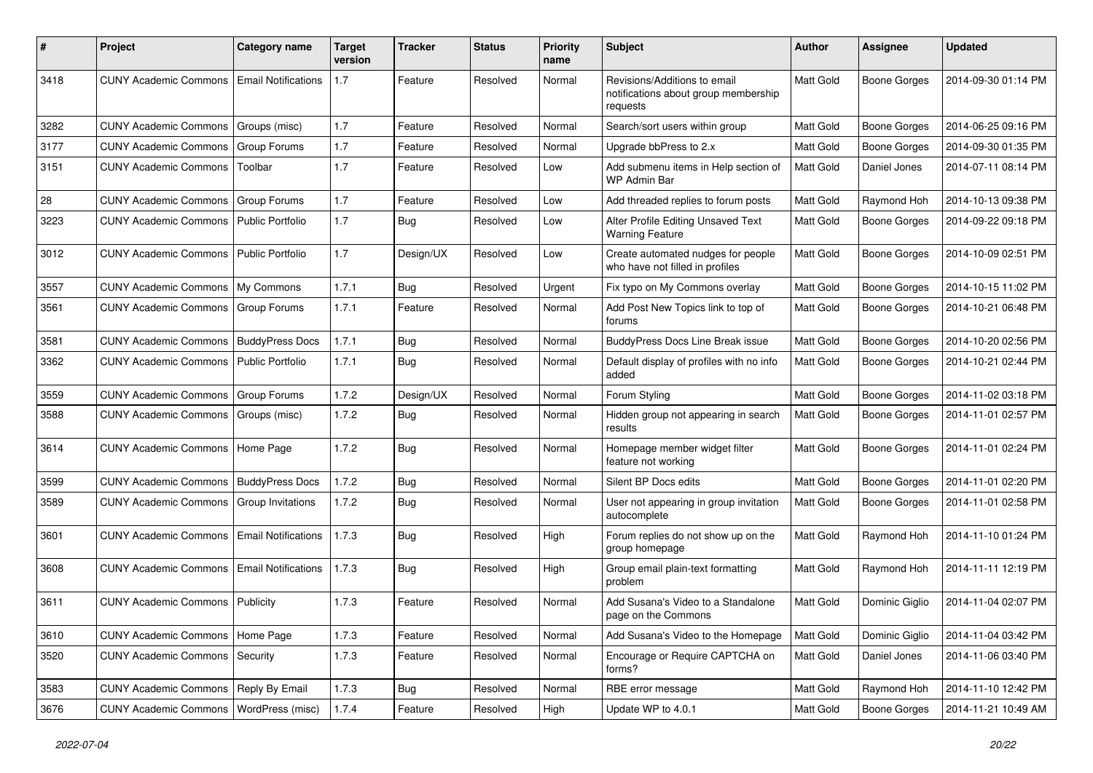| #    | Project                                  | <b>Category name</b>       | <b>Target</b><br>version | <b>Tracker</b> | <b>Status</b> | <b>Priority</b><br>name | <b>Subject</b>                                                                   | Author           | <b>Assignee</b>     | <b>Updated</b>      |
|------|------------------------------------------|----------------------------|--------------------------|----------------|---------------|-------------------------|----------------------------------------------------------------------------------|------------------|---------------------|---------------------|
| 3418 | <b>CUNY Academic Commons</b>             | <b>Email Notifications</b> | 1.7                      | Feature        | Resolved      | Normal                  | Revisions/Additions to email<br>notifications about group membership<br>requests | Matt Gold        | <b>Boone Gorges</b> | 2014-09-30 01:14 PM |
| 3282 | <b>CUNY Academic Commons</b>             | Groups (misc)              | 1.7                      | Feature        | Resolved      | Normal                  | Search/sort users within group                                                   | Matt Gold        | <b>Boone Gorges</b> | 2014-06-25 09:16 PM |
| 3177 | <b>CUNY Academic Commons</b>             | Group Forums               | 1.7                      | Feature        | Resolved      | Normal                  | Upgrade bbPress to 2.x                                                           | <b>Matt Gold</b> | <b>Boone Gorges</b> | 2014-09-30 01:35 PM |
| 3151 | <b>CUNY Academic Commons</b>             | Toolbar                    | 1.7                      | Feature        | Resolved      | Low                     | Add submenu items in Help section of<br><b>WP Admin Bar</b>                      | Matt Gold        | Daniel Jones        | 2014-07-11 08:14 PM |
| 28   | <b>CUNY Academic Commons</b>             | Group Forums               | 1.7                      | Feature        | Resolved      | Low                     | Add threaded replies to forum posts                                              | Matt Gold        | Raymond Hoh         | 2014-10-13 09:38 PM |
| 3223 | <b>CUNY Academic Commons</b>             | <b>Public Portfolio</b>    | 1.7                      | <b>Bug</b>     | Resolved      | Low                     | Alter Profile Editing Unsaved Text<br><b>Warning Feature</b>                     | Matt Gold        | <b>Boone Gorges</b> | 2014-09-22 09:18 PM |
| 3012 | <b>CUNY Academic Commons</b>             | <b>Public Portfolio</b>    | 1.7                      | Design/UX      | Resolved      | Low                     | Create automated nudges for people<br>who have not filled in profiles            | Matt Gold        | Boone Gorges        | 2014-10-09 02:51 PM |
| 3557 | <b>CUNY Academic Commons</b>             | My Commons                 | 1.7.1                    | Bug            | Resolved      | Urgent                  | Fix typo on My Commons overlay                                                   | Matt Gold        | <b>Boone Gorges</b> | 2014-10-15 11:02 PM |
| 3561 | <b>CUNY Academic Commons</b>             | Group Forums               | 1.7.1                    | Feature        | Resolved      | Normal                  | Add Post New Topics link to top of<br>forums                                     | <b>Matt Gold</b> | Boone Gorges        | 2014-10-21 06:48 PM |
| 3581 | <b>CUNY Academic Commons</b>             | <b>BuddyPress Docs</b>     | 1.7.1                    | Bug            | Resolved      | Normal                  | <b>BuddyPress Docs Line Break issue</b>                                          | Matt Gold        | Boone Gorges        | 2014-10-20 02:56 PM |
| 3362 | <b>CUNY Academic Commons</b>             | <b>Public Portfolio</b>    | 1.7.1                    | Bug            | Resolved      | Normal                  | Default display of profiles with no info<br>added                                | Matt Gold        | Boone Gorges        | 2014-10-21 02:44 PM |
| 3559 | <b>CUNY Academic Commons</b>             | Group Forums               | 1.7.2                    | Design/UX      | Resolved      | Normal                  | Forum Styling                                                                    | Matt Gold        | Boone Gorges        | 2014-11-02 03:18 PM |
| 3588 | <b>CUNY Academic Commons</b>             | Groups (misc)              | 1.7.2                    | <b>Bug</b>     | Resolved      | Normal                  | Hidden group not appearing in search<br>results                                  | Matt Gold        | Boone Gorges        | 2014-11-01 02:57 PM |
| 3614 | <b>CUNY Academic Commons</b>             | Home Page                  | 1.7.2                    | Bug            | Resolved      | Normal                  | Homepage member widget filter<br>feature not working                             | Matt Gold        | Boone Gorges        | 2014-11-01 02:24 PM |
| 3599 | <b>CUNY Academic Commons</b>             | <b>BuddyPress Docs</b>     | 1.7.2                    | Bug            | Resolved      | Normal                  | Silent BP Docs edits                                                             | Matt Gold        | <b>Boone Gorges</b> | 2014-11-01 02:20 PM |
| 3589 | <b>CUNY Academic Commons</b>             | Group Invitations          | 1.7.2                    | <b>Bug</b>     | Resolved      | Normal                  | User not appearing in group invitation<br>autocomplete                           | Matt Gold        | Boone Gorges        | 2014-11-01 02:58 PM |
| 3601 | <b>CUNY Academic Commons</b>             | <b>Email Notifications</b> | 1.7.3                    | Bug            | Resolved      | High                    | Forum replies do not show up on the<br>group homepage                            | Matt Gold        | Raymond Hoh         | 2014-11-10 01:24 PM |
| 3608 | <b>CUNY Academic Commons</b>             | <b>Email Notifications</b> | 1.7.3                    | Bug            | Resolved      | High                    | Group email plain-text formatting<br>problem                                     | Matt Gold        | Raymond Hoh         | 2014-11-11 12:19 PM |
| 3611 | <b>CUNY Academic Commons   Publicity</b> |                            | 1.7.3                    | Feature        | Resolved      | Normal                  | Add Susana's Video to a Standalone<br>page on the Commons                        | <b>Matt Gold</b> | Dominic Giglio      | 2014-11-04 02:07 PM |
| 3610 | CUNY Academic Commons   Home Page        |                            | 1.7.3                    | Feature        | Resolved      | Normal                  | Add Susana's Video to the Homepage                                               | Matt Gold        | Dominic Giglio      | 2014-11-04 03:42 PM |
| 3520 | <b>CUNY Academic Commons   Security</b>  |                            | 1.7.3                    | Feature        | Resolved      | Normal                  | Encourage or Require CAPTCHA on<br>forms?                                        | Matt Gold        | Daniel Jones        | 2014-11-06 03:40 PM |
| 3583 | CUNY Academic Commons   Reply By Email   |                            | 1.7.3                    | Bug            | Resolved      | Normal                  | RBE error message                                                                | Matt Gold        | Raymond Hoh         | 2014-11-10 12:42 PM |
| 3676 | <b>CUNY Academic Commons</b>             | WordPress (misc)           | 1.7.4                    | Feature        | Resolved      | High                    | Update WP to 4.0.1                                                               | Matt Gold        | <b>Boone Gorges</b> | 2014-11-21 10:49 AM |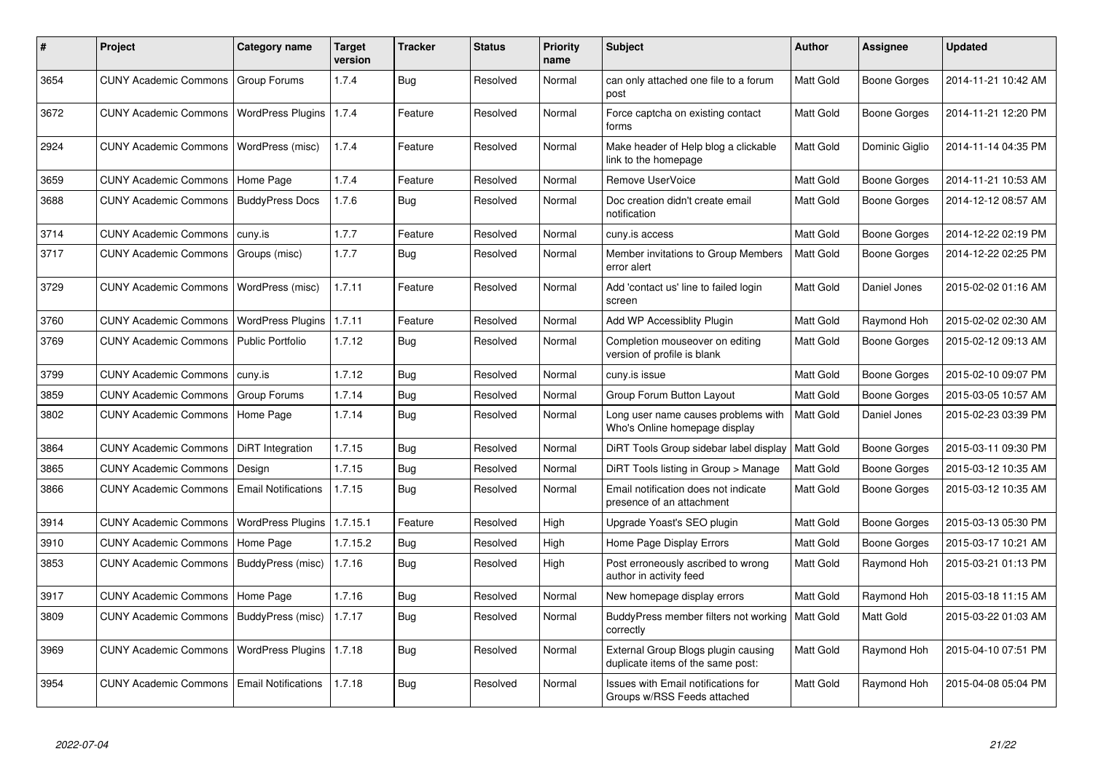| #    | <b>Project</b>                                    | Category name              | <b>Target</b><br>version | Tracker    | <b>Status</b> | <b>Priority</b><br>name | <b>Subject</b>                                                           | <b>Author</b> | <b>Assignee</b>     | <b>Updated</b>      |
|------|---------------------------------------------------|----------------------------|--------------------------|------------|---------------|-------------------------|--------------------------------------------------------------------------|---------------|---------------------|---------------------|
| 3654 | CUNY Academic Commons   Group Forums              |                            | 1.7.4                    | <b>Bug</b> | Resolved      | Normal                  | can only attached one file to a forum<br>post                            | Matt Gold     | <b>Boone Gorges</b> | 2014-11-21 10:42 AM |
| 3672 | CUNY Academic Commons   WordPress Plugins   1.7.4 |                            |                          | Feature    | Resolved      | Normal                  | Force captcha on existing contact<br>forms                               | Matt Gold     | <b>Boone Gorges</b> | 2014-11-21 12:20 PM |
| 2924 | <b>CUNY Academic Commons</b>                      | WordPress (misc)           | 1.7.4                    | Feature    | Resolved      | Normal                  | Make header of Help blog a clickable<br>link to the homepage             | Matt Gold     | Dominic Giglio      | 2014-11-14 04:35 PM |
| 3659 | <b>CUNY Academic Commons</b>                      | Home Page                  | 1.7.4                    | Feature    | Resolved      | Normal                  | Remove UserVoice                                                         | Matt Gold     | Boone Gorges        | 2014-11-21 10:53 AM |
| 3688 | <b>CUNY Academic Commons</b>                      | <b>BuddyPress Docs</b>     | 1.7.6                    | Bug        | Resolved      | Normal                  | Doc creation didn't create email<br>notification                         | Matt Gold     | <b>Boone Gorges</b> | 2014-12-12 08:57 AM |
| 3714 | <b>CUNY Academic Commons</b>                      | cuny.is                    | 1.7.7                    | Feature    | Resolved      | Normal                  | cuny.is access                                                           | Matt Gold     | Boone Gorges        | 2014-12-22 02:19 PM |
| 3717 | <b>CUNY Academic Commons</b>                      | Groups (misc)              | 1.7.7                    | <b>Bug</b> | Resolved      | Normal                  | Member invitations to Group Members<br>error alert                       | Matt Gold     | <b>Boone Gorges</b> | 2014-12-22 02:25 PM |
| 3729 | <b>CUNY Academic Commons</b>                      | WordPress (misc)           | 1.7.11                   | Feature    | Resolved      | Normal                  | Add 'contact us' line to failed login<br>screen                          | Matt Gold     | Daniel Jones        | 2015-02-02 01:16 AM |
| 3760 | <b>CUNY Academic Commons</b>                      | <b>WordPress Plugins</b>   | 1.7.11                   | Feature    | Resolved      | Normal                  | Add WP Accessiblity Plugin                                               | Matt Gold     | Raymond Hoh         | 2015-02-02 02:30 AM |
| 3769 | <b>CUNY Academic Commons</b>                      | <b>Public Portfolio</b>    | 1.7.12                   | Bug        | Resolved      | Normal                  | Completion mouseover on editing<br>version of profile is blank           | Matt Gold     | Boone Gorges        | 2015-02-12 09:13 AM |
| 3799 | <b>CUNY Academic Commons</b>                      | cuny.is                    | 1.7.12                   | Bug        | Resolved      | Normal                  | cuny.is issue                                                            | Matt Gold     | <b>Boone Gorges</b> | 2015-02-10 09:07 PM |
| 3859 | <b>CUNY Academic Commons</b>                      | Group Forums               | 1.7.14                   | Bug        | Resolved      | Normal                  | Group Forum Button Layout                                                | Matt Gold     | <b>Boone Gorges</b> | 2015-03-05 10:57 AM |
| 3802 | <b>CUNY Academic Commons</b>                      | Home Page                  | 1.7.14                   | Bug        | Resolved      | Normal                  | Long user name causes problems with<br>Who's Online homepage display     | Matt Gold     | Daniel Jones        | 2015-02-23 03:39 PM |
| 3864 | <b>CUNY Academic Commons</b>                      | DiRT Integration           | 1.7.15                   | Bug        | Resolved      | Normal                  | DIRT Tools Group sidebar label display                                   | Matt Gold     | <b>Boone Gorges</b> | 2015-03-11 09:30 PM |
| 3865 | <b>CUNY Academic Commons</b>                      | Design                     | 1.7.15                   | <b>Bug</b> | Resolved      | Normal                  | DiRT Tools listing in Group > Manage                                     | Matt Gold     | <b>Boone Gorges</b> | 2015-03-12 10:35 AM |
| 3866 | <b>CUNY Academic Commons</b>                      | <b>Email Notifications</b> | 1.7.15                   | <b>Bug</b> | Resolved      | Normal                  | Email notification does not indicate<br>presence of an attachment        | Matt Gold     | Boone Gorges        | 2015-03-12 10:35 AM |
| 3914 | <b>CUNY Academic Commons</b>                      | <b>WordPress Plugins</b>   | 1.7.15.1                 | Feature    | Resolved      | High                    | Upgrade Yoast's SEO plugin                                               | Matt Gold     | Boone Gorges        | 2015-03-13 05:30 PM |
| 3910 | <b>CUNY Academic Commons</b>                      | Home Page                  | 1.7.15.2                 | <b>Bug</b> | Resolved      | High                    | Home Page Display Errors                                                 | Matt Gold     | <b>Boone Gorges</b> | 2015-03-17 10:21 AM |
| 3853 | <b>CUNY Academic Commons</b>                      | BuddyPress (misc)          | 1.7.16                   | Bug        | Resolved      | High                    | Post erroneously ascribed to wrong<br>author in activity feed            | Matt Gold     | Raymond Hoh         | 2015-03-21 01:13 PM |
| 3917 | <b>CUNY Academic Commons</b>                      | Home Page                  | 1.7.16                   | Bug        | Resolved      | Normal                  | New homepage display errors                                              | Matt Gold     | Raymond Hoh         | 2015-03-18 11:15 AM |
| 3809 | <b>CUNY Academic Commons</b>                      | BuddyPress (misc)          | 1.7.17                   | <b>Bug</b> | Resolved      | Normal                  | BuddyPress member filters not working<br>correctly                       | Matt Gold     | Matt Gold           | 2015-03-22 01:03 AM |
| 3969 | <b>CUNY Academic Commons</b>                      | WordPress Plugins   1.7.18 |                          | Bug        | Resolved      | Normal                  | External Group Blogs plugin causing<br>duplicate items of the same post: | Matt Gold     | Raymond Hoh         | 2015-04-10 07:51 PM |
| 3954 | <b>CUNY Academic Commons</b>                      | <b>Email Notifications</b> | 1.7.18                   | Bug        | Resolved      | Normal                  | Issues with Email notifications for<br>Groups w/RSS Feeds attached       | Matt Gold     | Raymond Hoh         | 2015-04-08 05:04 PM |